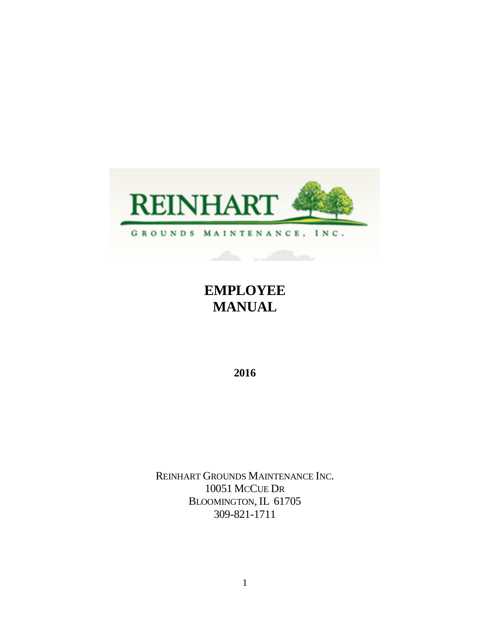

# **EMPLOYEE MANUAL**

**2016**

REINHART GROUNDS MAINTENANCE INC. 10051 MCCUE DR BLOOMINGTON, IL 61705 309-821-1711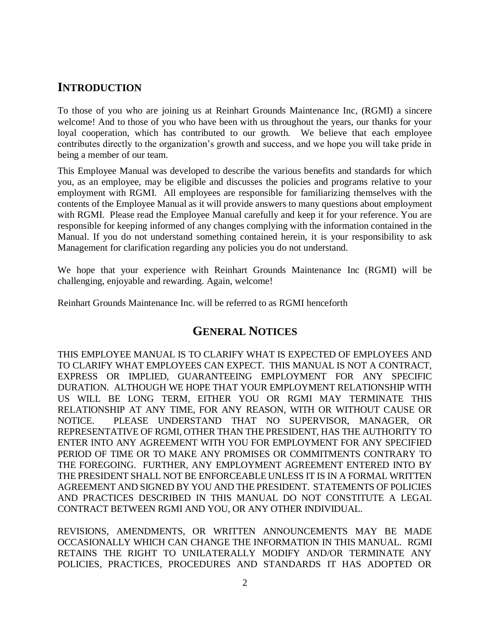# **INTRODUCTION**

To those of you who are joining us at Reinhart Grounds Maintenance Inc, (RGMI) a sincere welcome! And to those of you who have been with us throughout the years, our thanks for your loyal cooperation, which has contributed to our growth. We believe that each employee contributes directly to the organization's growth and success, and we hope you will take pride in being a member of our team.

This Employee Manual was developed to describe the various benefits and standards for which you, as an employee, may be eligible and discusses the policies and programs relative to your employment with RGMI. All employees are responsible for familiarizing themselves with the contents of the Employee Manual as it will provide answers to many questions about employment with RGMI. Please read the Employee Manual carefully and keep it for your reference. You are responsible for keeping informed of any changes complying with the information contained in the Manual. If you do not understand something contained herein, it is your responsibility to ask Management for clarification regarding any policies you do not understand.

We hope that your experience with Reinhart Grounds Maintenance Inc (RGMI) will be challenging, enjoyable and rewarding. Again, welcome!

Reinhart Grounds Maintenance Inc. will be referred to as RGMI henceforth

# **GENERAL NOTICES**

THIS EMPLOYEE MANUAL IS TO CLARIFY WHAT IS EXPECTED OF EMPLOYEES AND TO CLARIFY WHAT EMPLOYEES CAN EXPECT. THIS MANUAL IS NOT A CONTRACT, EXPRESS OR IMPLIED, GUARANTEEING EMPLOYMENT FOR ANY SPECIFIC DURATION. ALTHOUGH WE HOPE THAT YOUR EMPLOYMENT RELATIONSHIP WITH US WILL BE LONG TERM, EITHER YOU OR RGMI MAY TERMINATE THIS RELATIONSHIP AT ANY TIME, FOR ANY REASON, WITH OR WITHOUT CAUSE OR NOTICE. PLEASE UNDERSTAND THAT NO SUPERVISOR, MANAGER, OR REPRESENTATIVE OF RGMI, OTHER THAN THE PRESIDENT, HAS THE AUTHORITY TO ENTER INTO ANY AGREEMENT WITH YOU FOR EMPLOYMENT FOR ANY SPECIFIED PERIOD OF TIME OR TO MAKE ANY PROMISES OR COMMITMENTS CONTRARY TO THE FOREGOING. FURTHER, ANY EMPLOYMENT AGREEMENT ENTERED INTO BY THE PRESIDENT SHALL NOT BE ENFORCEABLE UNLESS IT IS IN A FORMAL WRITTEN AGREEMENT AND SIGNED BY YOU AND THE PRESIDENT. STATEMENTS OF POLICIES AND PRACTICES DESCRIBED IN THIS MANUAL DO NOT CONSTITUTE A LEGAL CONTRACT BETWEEN RGMI AND YOU, OR ANY OTHER INDIVIDUAL.

REVISIONS, AMENDMENTS, OR WRITTEN ANNOUNCEMENTS MAY BE MADE OCCASIONALLY WHICH CAN CHANGE THE INFORMATION IN THIS MANUAL. RGMI RETAINS THE RIGHT TO UNILATERALLY MODIFY AND/OR TERMINATE ANY POLICIES, PRACTICES, PROCEDURES AND STANDARDS IT HAS ADOPTED OR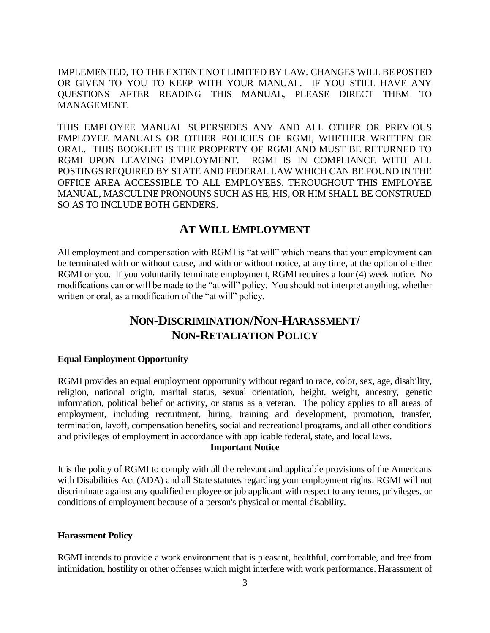IMPLEMENTED, TO THE EXTENT NOT LIMITED BY LAW. CHANGES WILL BE POSTED OR GIVEN TO YOU TO KEEP WITH YOUR MANUAL. IF YOU STILL HAVE ANY QUESTIONS AFTER READING THIS MANUAL, PLEASE DIRECT THEM TO MANAGEMENT.

THIS EMPLOYEE MANUAL SUPERSEDES ANY AND ALL OTHER OR PREVIOUS EMPLOYEE MANUALS OR OTHER POLICIES OF RGMI, WHETHER WRITTEN OR ORAL. THIS BOOKLET IS THE PROPERTY OF RGMI AND MUST BE RETURNED TO RGMI UPON LEAVING EMPLOYMENT. RGMI IS IN COMPLIANCE WITH ALL POSTINGS REQUIRED BY STATE AND FEDERAL LAW WHICH CAN BE FOUND IN THE OFFICE AREA ACCESSIBLE TO ALL EMPLOYEES. THROUGHOUT THIS EMPLOYEE MANUAL, MASCULINE PRONOUNS SUCH AS HE, HIS, OR HIM SHALL BE CONSTRUED SO AS TO INCLUDE BOTH GENDERS.

# **AT WILL EMPLOYMENT**

All employment and compensation with RGMI is "at will" which means that your employment can be terminated with or without cause, and with or without notice, at any time, at the option of either RGMI or you. If you voluntarily terminate employment, RGMI requires a four (4) week notice. No modifications can or will be made to the "at will" policy. You should not interpret anything, whether written or oral, as a modification of the "at will" policy.

# **NON-DISCRIMINATION/NON-HARASSMENT/ NON-RETALIATION POLICY**

#### **Equal Employment Opportunity**

RGMI provides an equal employment opportunity without regard to race, color, sex, age, disability, religion, national origin, marital status, sexual orientation, height, weight, ancestry, genetic information, political belief or activity, or status as a veteran. The policy applies to all areas of employment, including recruitment, hiring, training and development, promotion, transfer, termination, layoff, compensation benefits, social and recreational programs, and all other conditions and privileges of employment in accordance with applicable federal, state, and local laws.

#### **Important Notice**

It is the policy of RGMI to comply with all the relevant and applicable provisions of the Americans with Disabilities Act (ADA) and all State statutes regarding your employment rights. RGMI will not discriminate against any qualified employee or job applicant with respect to any terms, privileges, or conditions of employment because of a person's physical or mental disability.

#### **Harassment Policy**

RGMI intends to provide a work environment that is pleasant, healthful, comfortable, and free from intimidation, hostility or other offenses which might interfere with work performance. Harassment of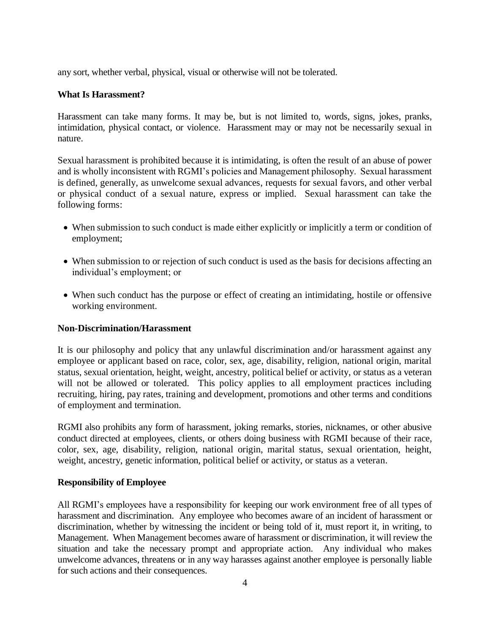any sort, whether verbal, physical, visual or otherwise will not be tolerated.

#### **What Is Harassment?**

Harassment can take many forms. It may be, but is not limited to, words, signs, jokes, pranks, intimidation, physical contact, or violence. Harassment may or may not be necessarily sexual in nature.

Sexual harassment is prohibited because it is intimidating, is often the result of an abuse of power and is wholly inconsistent with RGMI's policies and Management philosophy. Sexual harassment is defined, generally, as unwelcome sexual advances, requests for sexual favors, and other verbal or physical conduct of a sexual nature, express or implied. Sexual harassment can take the following forms:

- When submission to such conduct is made either explicitly or implicitly a term or condition of employment;
- When submission to or rejection of such conduct is used as the basis for decisions affecting an individual's employment; or
- When such conduct has the purpose or effect of creating an intimidating, hostile or offensive working environment.

#### **Non-Discrimination/Harassment**

It is our philosophy and policy that any unlawful discrimination and/or harassment against any employee or applicant based on race, color, sex, age, disability, religion, national origin, marital status, sexual orientation, height, weight, ancestry, political belief or activity, or status as a veteran will not be allowed or tolerated. This policy applies to all employment practices including recruiting, hiring, pay rates, training and development, promotions and other terms and conditions of employment and termination.

RGMI also prohibits any form of harassment, joking remarks, stories, nicknames, or other abusive conduct directed at employees, clients, or others doing business with RGMI because of their race, color, sex, age, disability, religion, national origin, marital status, sexual orientation, height, weight, ancestry, genetic information, political belief or activity, or status as a veteran.

#### **Responsibility of Employee**

All RGMI's employees have a responsibility for keeping our work environment free of all types of harassment and discrimination. Any employee who becomes aware of an incident of harassment or discrimination, whether by witnessing the incident or being told of it, must report it, in writing, to Management. When Management becomes aware of harassment or discrimination, it will review the situation and take the necessary prompt and appropriate action. Any individual who makes unwelcome advances, threatens or in any way harasses against another employee is personally liable for such actions and their consequences.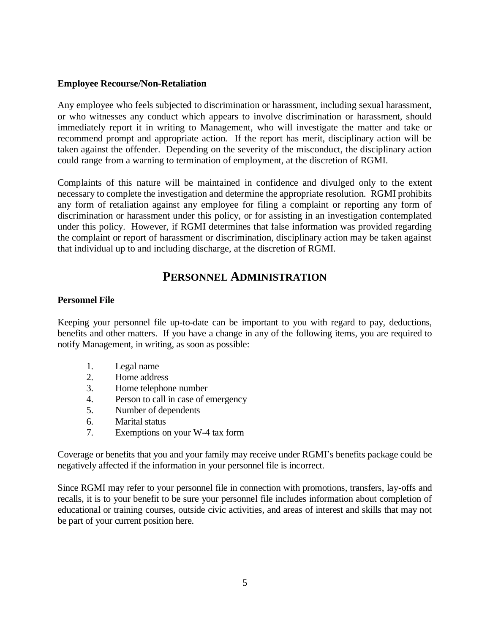#### **Employee Recourse/Non-Retaliation**

Any employee who feels subjected to discrimination or harassment, including sexual harassment, or who witnesses any conduct which appears to involve discrimination or harassment, should immediately report it in writing to Management, who will investigate the matter and take or recommend prompt and appropriate action. If the report has merit, disciplinary action will be taken against the offender. Depending on the severity of the misconduct, the disciplinary action could range from a warning to termination of employment, at the discretion of RGMI.

Complaints of this nature will be maintained in confidence and divulged only to the extent necessary to complete the investigation and determine the appropriate resolution. RGMI prohibits any form of retaliation against any employee for filing a complaint or reporting any form of discrimination or harassment under this policy, or for assisting in an investigation contemplated under this policy. However, if RGMI determines that false information was provided regarding the complaint or report of harassment or discrimination, disciplinary action may be taken against that individual up to and including discharge, at the discretion of RGMI.

# **PERSONNEL ADMINISTRATION**

#### **Personnel File**

Keeping your personnel file up-to-date can be important to you with regard to pay, deductions, benefits and other matters. If you have a change in any of the following items, you are required to notify Management, in writing, as soon as possible:

- 1. Legal name
- 2. Home address
- 3. Home telephone number
- 4. Person to call in case of emergency
- 5. Number of dependents
- 6. Marital status
- 7. Exemptions on your W-4 tax form

Coverage or benefits that you and your family may receive under RGMI's benefits package could be negatively affected if the information in your personnel file is incorrect.

Since RGMI may refer to your personnel file in connection with promotions, transfers, lay-offs and recalls, it is to your benefit to be sure your personnel file includes information about completion of educational or training courses, outside civic activities, and areas of interest and skills that may not be part of your current position here.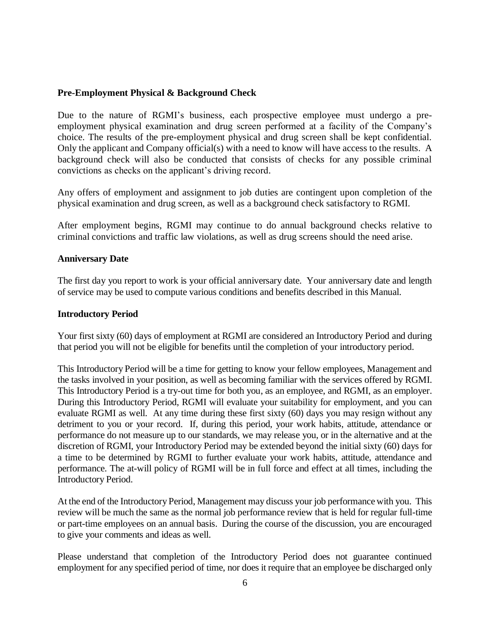#### **Pre-Employment Physical & Background Check**

Due to the nature of RGMI's business, each prospective employee must undergo a preemployment physical examination and drug screen performed at a facility of the Company's choice. The results of the pre-employment physical and drug screen shall be kept confidential. Only the applicant and Company official(s) with a need to know will have access to the results. A background check will also be conducted that consists of checks for any possible criminal convictions as checks on the applicant's driving record.

Any offers of employment and assignment to job duties are contingent upon completion of the physical examination and drug screen, as well as a background check satisfactory to RGMI.

After employment begins, RGMI may continue to do annual background checks relative to criminal convictions and traffic law violations, as well as drug screens should the need arise.

#### **Anniversary Date**

The first day you report to work is your official anniversary date. Your anniversary date and length of service may be used to compute various conditions and benefits described in this Manual.

#### **Introductory Period**

Your first sixty (60) days of employment at RGMI are considered an Introductory Period and during that period you will not be eligible for benefits until the completion of your introductory period.

This Introductory Period will be a time for getting to know your fellow employees, Management and the tasks involved in your position, as well as becoming familiar with the services offered by RGMI. This Introductory Period is a try-out time for both you, as an employee, and RGMI, as an employer. During this Introductory Period, RGMI will evaluate your suitability for employment, and you can evaluate RGMI as well. At any time during these first sixty (60) days you may resign without any detriment to you or your record. If, during this period, your work habits, attitude, attendance or performance do not measure up to our standards, we may release you, or in the alternative and at the discretion of RGMI, your Introductory Period may be extended beyond the initial sixty (60) days for a time to be determined by RGMI to further evaluate your work habits, attitude, attendance and performance. The at-will policy of RGMI will be in full force and effect at all times, including the Introductory Period.

At the end of the Introductory Period, Management may discuss your job performance with you. This review will be much the same as the normal job performance review that is held for regular full-time or part-time employees on an annual basis. During the course of the discussion, you are encouraged to give your comments and ideas as well.

Please understand that completion of the Introductory Period does not guarantee continued employment for any specified period of time, nor does it require that an employee be discharged only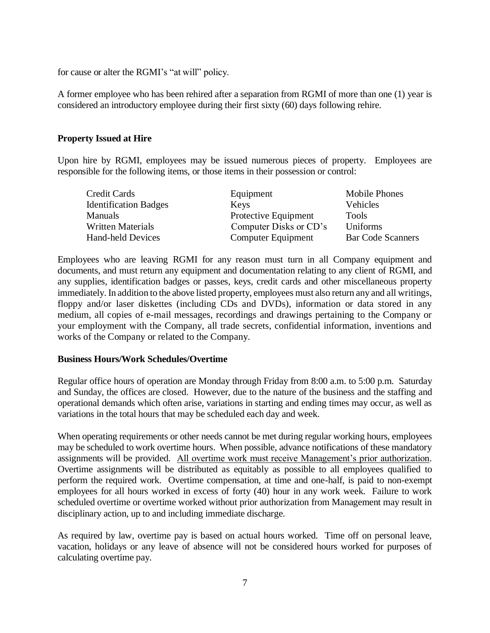for cause or alter the RGMI's "at will" policy.

A former employee who has been rehired after a separation from RGMI of more than one (1) year is considered an introductory employee during their first sixty (60) days following rehire.

#### **Property Issued at Hire**

Upon hire by RGMI, employees may be issued numerous pieces of property. Employees are responsible for the following items, or those items in their possession or control:

| Credit Cards                 | Equipment              | Mobile Phones            |
|------------------------------|------------------------|--------------------------|
| <b>Identification Badges</b> | Keys                   | Vehicles                 |
| <b>Manuals</b>               | Protective Equipment   | <b>Tools</b>             |
| <b>Written Materials</b>     | Computer Disks or CD's | <b>Uniforms</b>          |
| Hand-held Devices            | Computer Equipment     | <b>Bar Code Scanners</b> |

Employees who are leaving RGMI for any reason must turn in all Company equipment and documents, and must return any equipment and documentation relating to any client of RGMI, and any supplies, identification badges or passes, keys, credit cards and other miscellaneous property immediately. In addition to the above listed property, employees must also return any and all writings, floppy and/or laser diskettes (including CDs and DVDs), information or data stored in any medium, all copies of e-mail messages, recordings and drawings pertaining to the Company or your employment with the Company, all trade secrets, confidential information, inventions and works of the Company or related to the Company.

#### **Business Hours/Work Schedules/Overtime**

Regular office hours of operation are Monday through Friday from 8:00 a.m. to 5:00 p.m. Saturday and Sunday, the offices are closed. However, due to the nature of the business and the staffing and operational demands which often arise, variations in starting and ending times may occur, as well as variations in the total hours that may be scheduled each day and week.

When operating requirements or other needs cannot be met during regular working hours, employees may be scheduled to work overtime hours. When possible, advance notifications of these mandatory assignments will be provided. All overtime work must receive Management's prior authorization. Overtime assignments will be distributed as equitably as possible to all employees qualified to perform the required work. Overtime compensation, at time and one-half, is paid to non-exempt employees for all hours worked in excess of forty (40) hour in any work week. Failure to work scheduled overtime or overtime worked without prior authorization from Management may result in disciplinary action, up to and including immediate discharge.

As required by law, overtime pay is based on actual hours worked. Time off on personal leave, vacation, holidays or any leave of absence will not be considered hours worked for purposes of calculating overtime pay.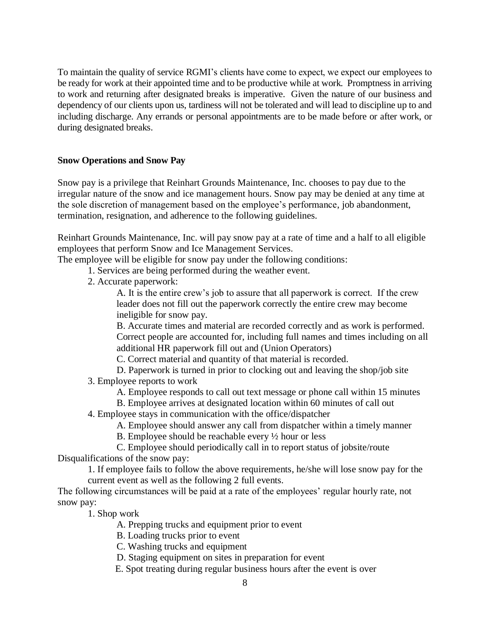To maintain the quality of service RGMI's clients have come to expect, we expect our employees to be ready for work at their appointed time and to be productive while at work. Promptness in arriving to work and returning after designated breaks is imperative. Given the nature of our business and dependency of our clients upon us, tardiness will not be tolerated and will lead to discipline up to and including discharge. Any errands or personal appointments are to be made before or after work, or during designated breaks.

### **Snow Operations and Snow Pay**

Snow pay is a privilege that Reinhart Grounds Maintenance, Inc. chooses to pay due to the irregular nature of the snow and ice management hours. Snow pay may be denied at any time at the sole discretion of management based on the employee's performance, job abandonment, termination, resignation, and adherence to the following guidelines.

Reinhart Grounds Maintenance, Inc. will pay snow pay at a rate of time and a half to all eligible employees that perform Snow and Ice Management Services.

The employee will be eligible for snow pay under the following conditions:

- 1. Services are being performed during the weather event.
- 2. Accurate paperwork:

A. It is the entire crew's job to assure that all paperwork is correct. If the crew leader does not fill out the paperwork correctly the entire crew may become ineligible for snow pay.

B. Accurate times and material are recorded correctly and as work is performed. Correct people are accounted for, including full names and times including on all additional HR paperwork fill out and (Union Operators)

C. Correct material and quantity of that material is recorded.

- D. Paperwork is turned in prior to clocking out and leaving the shop/job site 3. Employee reports to work
	- A. Employee responds to call out text message or phone call within 15 minutes
	- B. Employee arrives at designated location within 60 minutes of call out
- 4. Employee stays in communication with the office/dispatcher
	- A. Employee should answer any call from dispatcher within a timely manner
	- B. Employee should be reachable every ½ hour or less
	- C. Employee should periodically call in to report status of jobsite/route

Disqualifications of the snow pay:

1. If employee fails to follow the above requirements, he/she will lose snow pay for the current event as well as the following 2 full events.

The following circumstances will be paid at a rate of the employees' regular hourly rate, not snow pay:

1. Shop work

A. Prepping trucks and equipment prior to event

B. Loading trucks prior to event

- C. Washing trucks and equipment
- D. Staging equipment on sites in preparation for event
- E. Spot treating during regular business hours after the event is over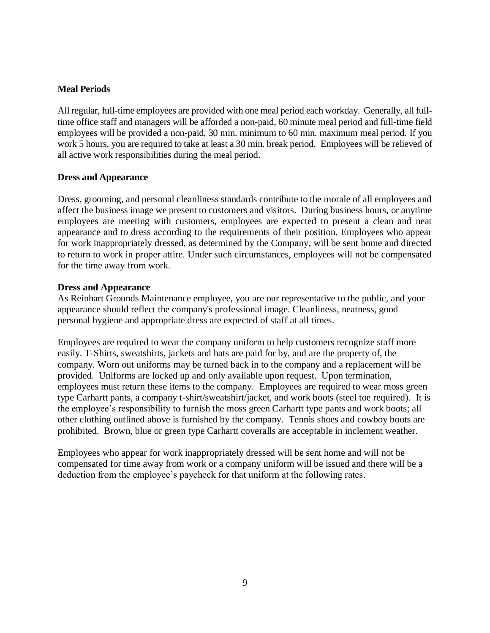#### **Meal Periods**

All regular, full-time employees are provided with one meal period each workday. Generally, all fulltime office staff and managers will be afforded a non-paid, 60 minute meal period and full-time field employees will be provided a non-paid, 30 min. minimum to 60 min. maximum meal period. If you work 5 hours, you are required to take at least a 30 min. break period. Employees will be relieved of all active work responsibilities during the meal period.

#### **Dress and Appearance**

Dress, grooming, and personal cleanliness standards contribute to the morale of all employees and affect the business image we present to customers and visitors. During business hours, or anytime employees are meeting with customers, employees are expected to present a clean and neat appearance and to dress according to the requirements of their position. Employees who appear for work inappropriately dressed, as determined by the Company, will be sent home and directed to return to work in proper attire. Under such circumstances, employees will not be compensated for the time away from work.

#### **Dress and Appearance**

As Reinhart Grounds Maintenance employee, you are our representative to the public, and your appearance should reflect the company's professional image. Cleanliness, neatness, good personal hygiene and appropriate dress are expected of staff at all times.

Employees are required to wear the company uniform to help customers recognize staff more easily. T-Shirts, sweatshirts, jackets and hats are paid for by, and are the property of, the company. Worn out uniforms may be turned back in to the company and a replacement will be provided. Uniforms are locked up and only available upon request. Upon termination, employees must return these items to the company. Employees are required to wear moss green type Carhartt pants, a company t-shirt/sweatshirt/jacket, and work boots (steel toe required). It is the employee's responsibility to furnish the moss green Carhartt type pants and work boots; all other clothing outlined above is furnished by the company. Tennis shoes and cowboy boots are prohibited. Brown, blue or green type Carhartt coveralls are acceptable in inclement weather.

Employees who appear for work inappropriately dressed will be sent home and will not be compensated for time away from work or a company uniform will be issued and there will be a deduction from the employee's paycheck for that uniform at the following rates.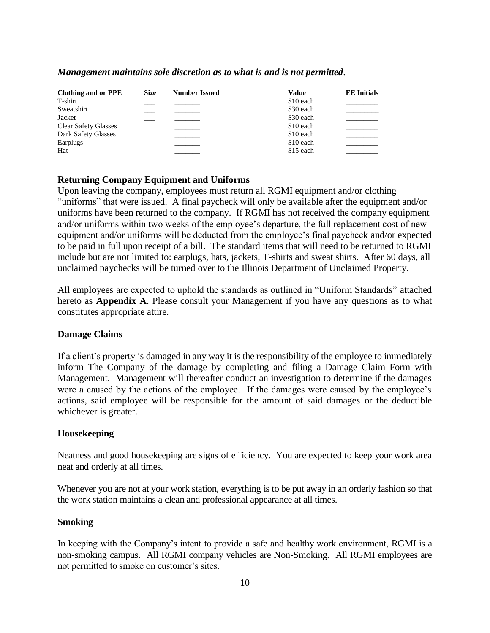#### *Management maintains sole discretion as to what is and is not permitted.*

| <b>Clothing and or PPE</b>  | <b>Size</b> | <b>Number Issued</b> | <b>Value</b> | <b>EE</b> Initials |
|-----------------------------|-------------|----------------------|--------------|--------------------|
| T-shirt                     |             |                      | \$10 each    |                    |
| Sweatshirt                  |             |                      | \$30 each    |                    |
| Jacket                      |             |                      | \$30 each    |                    |
| <b>Clear Safety Glasses</b> |             |                      | \$10 each    |                    |
| Dark Safety Glasses         |             |                      | \$10 each    |                    |
| Earplugs                    |             |                      | \$10 each    |                    |
| Hat                         |             |                      | \$15 each    |                    |

#### **Returning Company Equipment and Uniforms**

Upon leaving the company, employees must return all RGMI equipment and/or clothing "uniforms" that were issued. A final paycheck will only be available after the equipment and/or uniforms have been returned to the company. If RGMI has not received the company equipment and/or uniforms within two weeks of the employee's departure, the full replacement cost of new equipment and/or uniforms will be deducted from the employee's final paycheck and/or expected to be paid in full upon receipt of a bill. The standard items that will need to be returned to RGMI include but are not limited to: earplugs, hats, jackets, T-shirts and sweat shirts. After 60 days, all unclaimed paychecks will be turned over to the Illinois Department of Unclaimed Property.

All employees are expected to uphold the standards as outlined in "Uniform Standards" attached hereto as **Appendix A**. Please consult your Management if you have any questions as to what constitutes appropriate attire.

#### **Damage Claims**

If a client's property is damaged in any way it is the responsibility of the employee to immediately inform The Company of the damage by completing and filing a Damage Claim Form with Management. Management will thereafter conduct an investigation to determine if the damages were a caused by the actions of the employee. If the damages were caused by the employee's actions, said employee will be responsible for the amount of said damages or the deductible whichever is greater.

#### **Housekeeping**

Neatness and good housekeeping are signs of efficiency. You are expected to keep your work area neat and orderly at all times.

Whenever you are not at your work station, everything is to be put away in an orderly fashion so that the work station maintains a clean and professional appearance at all times.

#### **Smoking**

In keeping with the Company's intent to provide a safe and healthy work environment, RGMI is a non-smoking campus. All RGMI company vehicles are Non-Smoking. All RGMI employees are not permitted to smoke on customer's sites.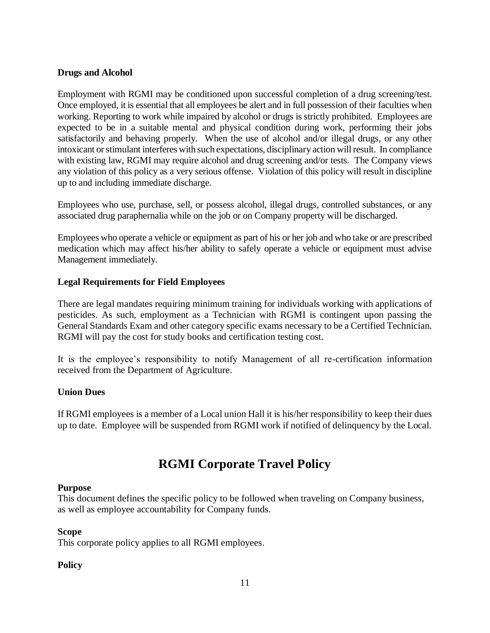### **Drugs and Alcohol**

Employment with RGMI may be conditioned upon successful completion of a drug screening/test. Once employed, it is essential that all employees be alert and in full possession of their faculties when working. Reporting to work while impaired by alcohol or drugs is strictly prohibited. Employees are expected to be in a suitable mental and physical condition during work, performing their jobs satisfactorily and behaving properly. When the use of alcohol and/or illegal drugs, or any other intoxicant or stimulant interferes with such expectations, disciplinary action will result. In compliance with existing law, RGMI may require alcohol and drug screening and/or tests. The Company views any violation of this policy as a very serious offense. Violation of this policy will result in discipline up to and including immediate discharge.

Employees who use, purchase, sell, or possess alcohol, illegal drugs, controlled substances, or any associated drug paraphernalia while on the job or on Company property will be discharged.

Employees who operate a vehicle or equipment as part of his or her job and who take or are prescribed medication which may affect his/her ability to safely operate a vehicle or equipment must advise Management immediately.

# **Legal Requirements for Field Employees**

There are legal mandates requiring minimum training for individuals working with applications of pesticides. As such, employment as a Technician with RGMI is contingent upon passing the General Standards Exam and other category specific exams necessary to be a Certified Technician. RGMI will pay the cost for study books and certification testing cost.

It is the employee's responsibility to notify Management of all re-certification information received from the Department of Agriculture.

# **Union Dues**

If RGMI employees is a member of a Local union Hall it is his/her responsibility to keep their dues up to date. Employee will be suspended from RGMI work if notified of delinquency by the Local.

# **RGMI Corporate Travel Policy**

#### **Purpose**

This document defines the specific policy to be followed when traveling on Company business, as well as employee accountability for Company funds.

#### **Scope**

This corporate policy applies to all RGMI employees.

#### **Policy**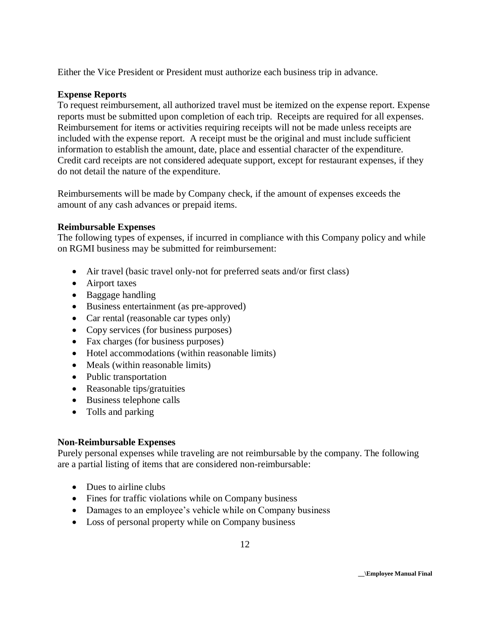Either the Vice President or President must authorize each business trip in advance.

### **Expense Reports**

To request reimbursement, all authorized travel must be itemized on the expense report. Expense reports must be submitted upon completion of each trip. Receipts are required for all expenses. Reimbursement for items or activities requiring receipts will not be made unless receipts are included with the expense report. A receipt must be the original and must include sufficient information to establish the amount, date, place and essential character of the expenditure. Credit card receipts are not considered adequate support, except for restaurant expenses, if they do not detail the nature of the expenditure.

Reimbursements will be made by Company check, if the amount of expenses exceeds the amount of any cash advances or prepaid items.

#### **Reimbursable Expenses**

The following types of expenses, if incurred in compliance with this Company policy and while on RGMI business may be submitted for reimbursement:

- Air travel (basic travel only-not for preferred seats and/or first class)
- Airport taxes
- Baggage handling
- Business entertainment (as pre-approved)
- Car rental (reasonable car types only)
- Copy services (for business purposes)
- Fax charges (for business purposes)
- Hotel accommodations (within reasonable limits)
- Meals (within reasonable limits)
- Public transportation
- Reasonable tips/gratuities
- Business telephone calls
- Tolls and parking

#### **Non-Reimbursable Expenses**

Purely personal expenses while traveling are not reimbursable by the company. The following are a partial listing of items that are considered non-reimbursable:

- Dues to airline clubs
- Fines for traffic violations while on Company business
- Damages to an employee's vehicle while on Company business
- Loss of personal property while on Company business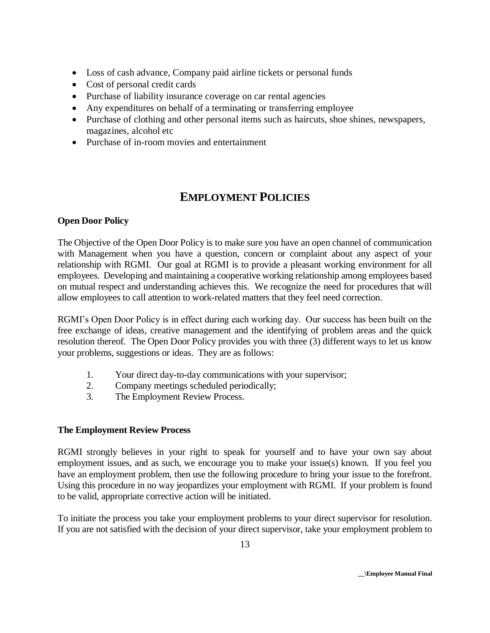- Loss of cash advance, Company paid airline tickets or personal funds
- Cost of personal credit cards
- Purchase of liability insurance coverage on car rental agencies
- Any expenditures on behalf of a terminating or transferring employee
- Purchase of clothing and other personal items such as haircuts, shoe shines, newspapers, magazines, alcohol etc
- Purchase of in-room movies and entertainment

# **EMPLOYMENT POLICIES**

# **Open Door Policy**

The Objective of the Open Door Policy is to make sure you have an open channel of communication with Management when you have a question, concern or complaint about any aspect of your relationship with RGMI. Our goal at RGMI is to provide a pleasant working environment for all employees. Developing and maintaining a cooperative working relationship among employees based on mutual respect and understanding achieves this. We recognize the need for procedures that will allow employees to call attention to work-related matters that they feel need correction.

RGMI's Open Door Policy is in effect during each working day. Our success has been built on the free exchange of ideas, creative management and the identifying of problem areas and the quick resolution thereof. The Open Door Policy provides you with three (3) different ways to let us know your problems, suggestions or ideas. They are as follows:

- 1. Your direct day-to-day communications with your supervisor;
- 2. Company meetings scheduled periodically;
- 3. The Employment Review Process.

# **The Employment Review Process**

RGMI strongly believes in your right to speak for yourself and to have your own say about employment issues, and as such, we encourage you to make your issue(s) known. If you feel you have an employment problem, then use the following procedure to bring your issue to the forefront. Using this procedure in no way jeopardizes your employment with RGMI. If your problem is found to be valid, appropriate corrective action will be initiated.

To initiate the process you take your employment problems to your direct supervisor for resolution. If you are not satisfied with the decision of your direct supervisor, take your employment problem to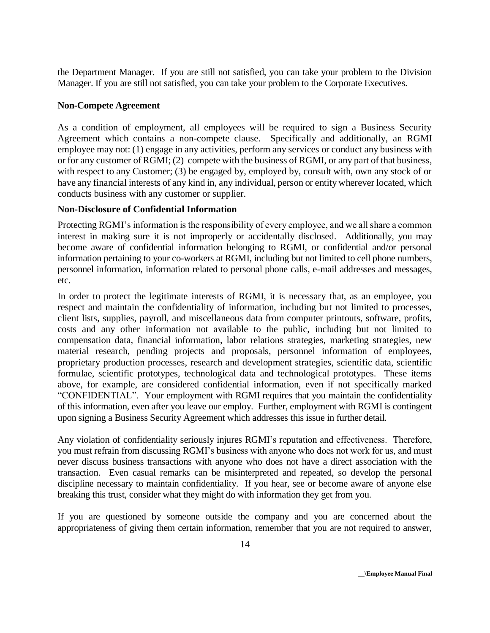the Department Manager. If you are still not satisfied, you can take your problem to the Division Manager. If you are still not satisfied, you can take your problem to the Corporate Executives.

### **Non-Compete Agreement**

As a condition of employment, all employees will be required to sign a Business Security Agreement which contains a non-compete clause. Specifically and additionally, an RGMI employee may not: (1) engage in any activities, perform any services or conduct any business with or for any customer of RGMI; (2) compete with the business of RGMI, or any part of that business, with respect to any Customer; (3) be engaged by, employed by, consult with, own any stock of or have any financial interests of any kind in, any individual, person or entity wherever located, which conducts business with any customer or supplier.

### **Non-Disclosure of Confidential Information**

Protecting RGMI's information is the responsibility of every employee, and we all share a common interest in making sure it is not improperly or accidentally disclosed. Additionally, you may become aware of confidential information belonging to RGMI, or confidential and/or personal information pertaining to your co-workers at RGMI, including but not limited to cell phone numbers, personnel information, information related to personal phone calls, e-mail addresses and messages, etc.

In order to protect the legitimate interests of RGMI, it is necessary that, as an employee, you respect and maintain the confidentiality of information, including but not limited to processes, client lists, supplies, payroll, and miscellaneous data from computer printouts, software, profits, costs and any other information not available to the public, including but not limited to compensation data, financial information, labor relations strategies, marketing strategies, new material research, pending projects and proposals, personnel information of employees, proprietary production processes, research and development strategies, scientific data, scientific formulae, scientific prototypes, technological data and technological prototypes. These items above, for example, are considered confidential information, even if not specifically marked "CONFIDENTIAL". Your employment with RGMI requires that you maintain the confidentiality of this information, even after you leave our employ. Further, employment with RGMI is contingent upon signing a Business Security Agreement which addresses this issue in further detail.

Any violation of confidentiality seriously injures RGMI's reputation and effectiveness. Therefore, you must refrain from discussing RGMI's business with anyone who does not work for us, and must never discuss business transactions with anyone who does not have a direct association with the transaction. Even casual remarks can be misinterpreted and repeated, so develop the personal discipline necessary to maintain confidentiality. If you hear, see or become aware of anyone else breaking this trust, consider what they might do with information they get from you.

If you are questioned by someone outside the company and you are concerned about the appropriateness of giving them certain information, remember that you are not required to answer,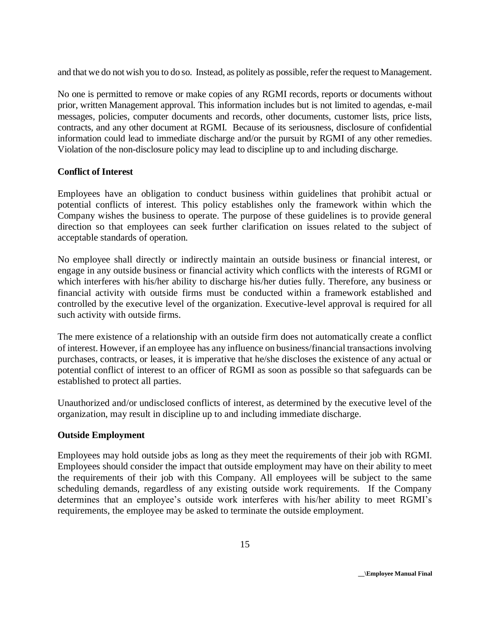and that we do not wish you to do so. Instead, as politely as possible, refer the request to Management.

No one is permitted to remove or make copies of any RGMI records, reports or documents without prior, written Management approval. This information includes but is not limited to agendas, e-mail messages, policies, computer documents and records, other documents, customer lists, price lists, contracts, and any other document at RGMI. Because of its seriousness, disclosure of confidential information could lead to immediate discharge and/or the pursuit by RGMI of any other remedies. Violation of the non-disclosure policy may lead to discipline up to and including discharge.

#### **Conflict of Interest**

Employees have an obligation to conduct business within guidelines that prohibit actual or potential conflicts of interest. This policy establishes only the framework within which the Company wishes the business to operate. The purpose of these guidelines is to provide general direction so that employees can seek further clarification on issues related to the subject of acceptable standards of operation.

No employee shall directly or indirectly maintain an outside business or financial interest, or engage in any outside business or financial activity which conflicts with the interests of RGMI or which interferes with his/her ability to discharge his/her duties fully. Therefore, any business or financial activity with outside firms must be conducted within a framework established and controlled by the executive level of the organization. Executive-level approval is required for all such activity with outside firms.

The mere existence of a relationship with an outside firm does not automatically create a conflict of interest. However, if an employee has any influence on business/financial transactions involving purchases, contracts, or leases, it is imperative that he/she discloses the existence of any actual or potential conflict of interest to an officer of RGMI as soon as possible so that safeguards can be established to protect all parties.

Unauthorized and/or undisclosed conflicts of interest, as determined by the executive level of the organization, may result in discipline up to and including immediate discharge.

#### **Outside Employment**

Employees may hold outside jobs as long as they meet the requirements of their job with RGMI. Employees should consider the impact that outside employment may have on their ability to meet the requirements of their job with this Company. All employees will be subject to the same scheduling demands, regardless of any existing outside work requirements. If the Company determines that an employee's outside work interferes with his/her ability to meet RGMI's requirements, the employee may be asked to terminate the outside employment.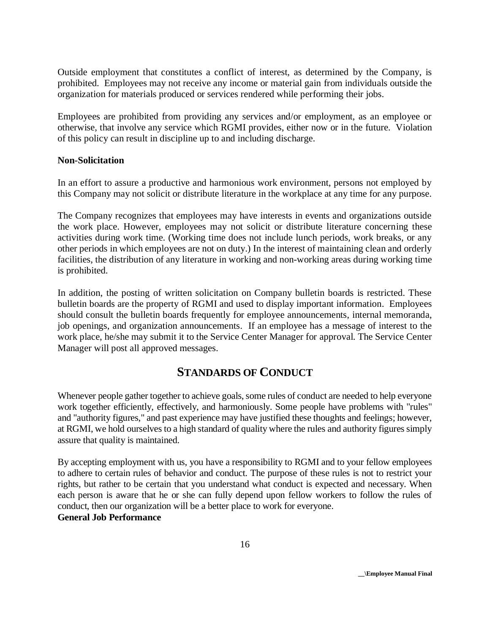Outside employment that constitutes a conflict of interest, as determined by the Company, is prohibited. Employees may not receive any income or material gain from individuals outside the organization for materials produced or services rendered while performing their jobs.

Employees are prohibited from providing any services and/or employment, as an employee or otherwise, that involve any service which RGMI provides, either now or in the future. Violation of this policy can result in discipline up to and including discharge.

#### **Non-Solicitation**

In an effort to assure a productive and harmonious work environment, persons not employed by this Company may not solicit or distribute literature in the workplace at any time for any purpose.

The Company recognizes that employees may have interests in events and organizations outside the work place. However, employees may not solicit or distribute literature concerning these activities during work time. (Working time does not include lunch periods, work breaks, or any other periods in which employees are not on duty.) In the interest of maintaining clean and orderly facilities, the distribution of any literature in working and non-working areas during working time is prohibited.

In addition, the posting of written solicitation on Company bulletin boards is restricted. These bulletin boards are the property of RGMI and used to display important information. Employees should consult the bulletin boards frequently for employee announcements, internal memoranda, job openings, and organization announcements. If an employee has a message of interest to the work place, he/she may submit it to the Service Center Manager for approval. The Service Center Manager will post all approved messages.

# **STANDARDS OF CONDUCT**

Whenever people gather together to achieve goals, some rules of conduct are needed to help everyone work together efficiently, effectively, and harmoniously. Some people have problems with "rules" and "authority figures," and past experience may have justified these thoughts and feelings; however, at RGMI, we hold ourselves to a high standard of quality where the rules and authority figures simply assure that quality is maintained.

By accepting employment with us, you have a responsibility to RGMI and to your fellow employees to adhere to certain rules of behavior and conduct. The purpose of these rules is not to restrict your rights, but rather to be certain that you understand what conduct is expected and necessary. When each person is aware that he or she can fully depend upon fellow workers to follow the rules of conduct, then our organization will be a better place to work for everyone. **General Job Performance**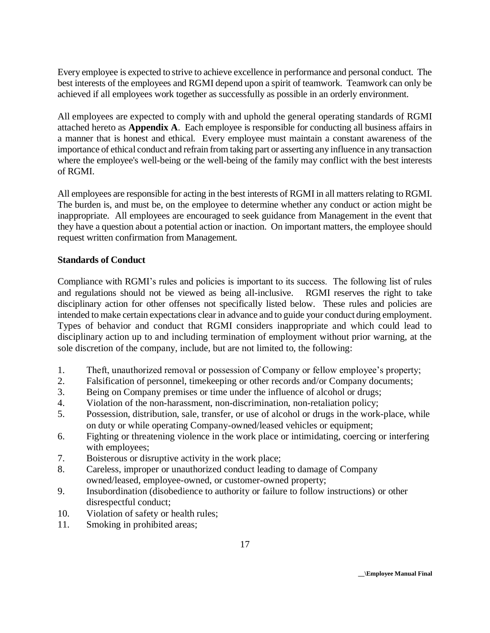Every employee is expected to strive to achieve excellence in performance and personal conduct. The best interests of the employees and RGMI depend upon a spirit of teamwork. Teamwork can only be achieved if all employees work together as successfully as possible in an orderly environment.

All employees are expected to comply with and uphold the general operating standards of RGMI attached hereto as **Appendix A**. Each employee is responsible for conducting all business affairs in a manner that is honest and ethical. Every employee must maintain a constant awareness of the importance of ethical conduct and refrain from taking part or asserting any influence in any transaction where the employee's well-being or the well-being of the family may conflict with the best interests of RGMI.

All employees are responsible for acting in the best interests of RGMI in all matters relating to RGMI. The burden is, and must be, on the employee to determine whether any conduct or action might be inappropriate. All employees are encouraged to seek guidance from Management in the event that they have a question about a potential action or inaction. On important matters, the employee should request written confirmation from Management.

### **Standards of Conduct**

Compliance with RGMI's rules and policies is important to its success. The following list of rules and regulations should not be viewed as being all-inclusive. RGMI reserves the right to take disciplinary action for other offenses not specifically listed below. These rules and policies are intended to make certain expectations clear in advance and to guide your conduct during employment. Types of behavior and conduct that RGMI considers inappropriate and which could lead to disciplinary action up to and including termination of employment without prior warning, at the sole discretion of the company, include, but are not limited to, the following:

- 1. Theft, unauthorized removal or possession of Company or fellow employee's property;
- 2. Falsification of personnel, timekeeping or other records and/or Company documents;
- 3. Being on Company premises or time under the influence of alcohol or drugs;
- 4. Violation of the non-harassment, non-discrimination, non-retaliation policy;
- 5. Possession, distribution, sale, transfer, or use of alcohol or drugs in the work-place, while on duty or while operating Company-owned/leased vehicles or equipment;
- 6. Fighting or threatening violence in the work place or intimidating, coercing or interfering with employees;
- 7. Boisterous or disruptive activity in the work place;
- 8. Careless, improper or unauthorized conduct leading to damage of Company owned/leased, employee-owned, or customer-owned property;
- 9. Insubordination (disobedience to authority or failure to follow instructions) or other disrespectful conduct;
- 10. Violation of safety or health rules;
- 11. Smoking in prohibited areas;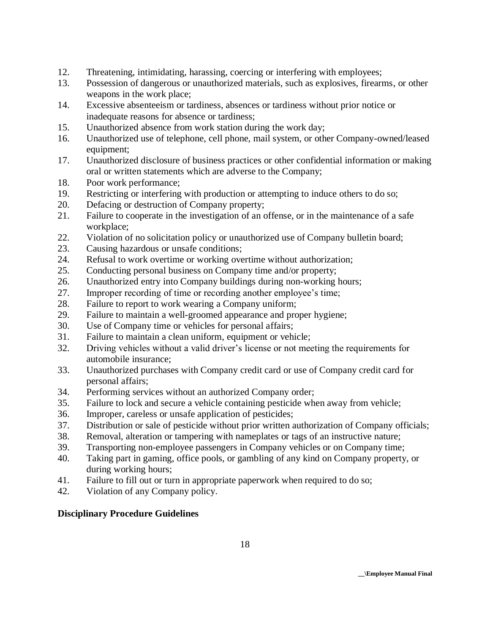- 12. Threatening, intimidating, harassing, coercing or interfering with employees;
- 13. Possession of dangerous or unauthorized materials, such as explosives, firearms, or other weapons in the work place;
- 14. Excessive absenteeism or tardiness, absences or tardiness without prior notice or inadequate reasons for absence or tardiness;
- 15. Unauthorized absence from work station during the work day;
- 16. Unauthorized use of telephone, cell phone, mail system, or other Company-owned/leased equipment;
- 17. Unauthorized disclosure of business practices or other confidential information or making oral or written statements which are adverse to the Company;
- 18. Poor work performance;
- 19. Restricting or interfering with production or attempting to induce others to do so;
- 20. Defacing or destruction of Company property;
- 21. Failure to cooperate in the investigation of an offense, or in the maintenance of a safe workplace;
- 22. Violation of no solicitation policy or unauthorized use of Company bulletin board;
- 23. Causing hazardous or unsafe conditions;
- 24. Refusal to work overtime or working overtime without authorization;
- 25. Conducting personal business on Company time and/or property;
- 26. Unauthorized entry into Company buildings during non-working hours;
- 27. Improper recording of time or recording another employee's time;
- 28. Failure to report to work wearing a Company uniform;
- 29. Failure to maintain a well-groomed appearance and proper hygiene;
- 30. Use of Company time or vehicles for personal affairs;
- 31. Failure to maintain a clean uniform, equipment or vehicle;
- 32. Driving vehicles without a valid driver's license or not meeting the requirements for automobile insurance;
- 33. Unauthorized purchases with Company credit card or use of Company credit card for personal affairs;
- 34. Performing services without an authorized Company order;
- 35. Failure to lock and secure a vehicle containing pesticide when away from vehicle;
- 36. Improper, careless or unsafe application of pesticides;
- 37. Distribution or sale of pesticide without prior written authorization of Company officials;
- 38. Removal, alteration or tampering with nameplates or tags of an instructive nature;
- 39. Transporting non-employee passengers in Company vehicles or on Company time;
- 40. Taking part in gaming, office pools, or gambling of any kind on Company property, or during working hours;
- 41. Failure to fill out or turn in appropriate paperwork when required to do so;
- 42. Violation of any Company policy.

# **Disciplinary Procedure Guidelines**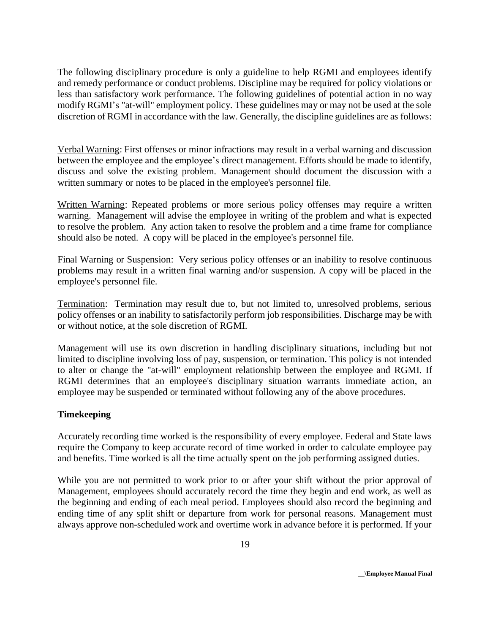The following disciplinary procedure is only a guideline to help RGMI and employees identify and remedy performance or conduct problems. Discipline may be required for policy violations or less than satisfactory work performance. The following guidelines of potential action in no way modify RGMI's "at-will" employment policy. These guidelines may or may not be used at the sole discretion of RGMI in accordance with the law. Generally, the discipline guidelines are as follows:

Verbal Warning: First offenses or minor infractions may result in a verbal warning and discussion between the employee and the employee's direct management. Efforts should be made to identify, discuss and solve the existing problem. Management should document the discussion with a written summary or notes to be placed in the employee's personnel file.

Written Warning: Repeated problems or more serious policy offenses may require a written warning. Management will advise the employee in writing of the problem and what is expected to resolve the problem. Any action taken to resolve the problem and a time frame for compliance should also be noted. A copy will be placed in the employee's personnel file.

Final Warning or Suspension: Very serious policy offenses or an inability to resolve continuous problems may result in a written final warning and/or suspension. A copy will be placed in the employee's personnel file.

Termination: Termination may result due to, but not limited to, unresolved problems, serious policy offenses or an inability to satisfactorily perform job responsibilities. Discharge may be with or without notice, at the sole discretion of RGMI.

Management will use its own discretion in handling disciplinary situations, including but not limited to discipline involving loss of pay, suspension, or termination. This policy is not intended to alter or change the "at-will" employment relationship between the employee and RGMI. If RGMI determines that an employee's disciplinary situation warrants immediate action, an employee may be suspended or terminated without following any of the above procedures.

#### **Timekeeping**

Accurately recording time worked is the responsibility of every employee. Federal and State laws require the Company to keep accurate record of time worked in order to calculate employee pay and benefits. Time worked is all the time actually spent on the job performing assigned duties.

While you are not permitted to work prior to or after your shift without the prior approval of Management, employees should accurately record the time they begin and end work, as well as the beginning and ending of each meal period. Employees should also record the beginning and ending time of any split shift or departure from work for personal reasons. Management must always approve non-scheduled work and overtime work in advance before it is performed. If your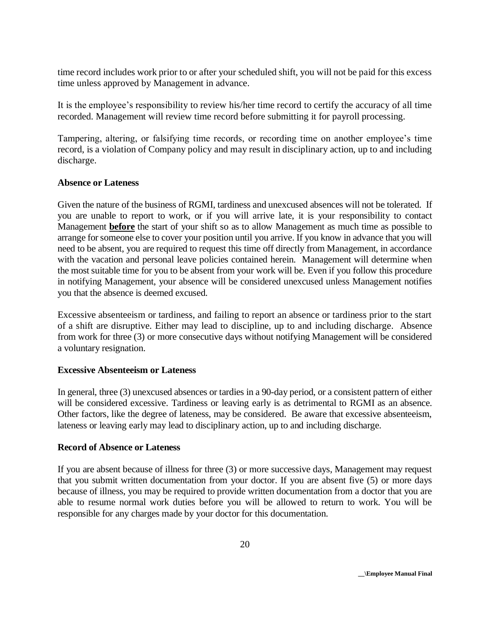time record includes work prior to or after your scheduled shift, you will not be paid for this excess time unless approved by Management in advance.

It is the employee's responsibility to review his/her time record to certify the accuracy of all time recorded. Management will review time record before submitting it for payroll processing.

Tampering, altering, or falsifying time records, or recording time on another employee's time record, is a violation of Company policy and may result in disciplinary action, up to and including discharge.

#### **Absence or Lateness**

Given the nature of the business of RGMI, tardiness and unexcused absences will not be tolerated. If you are unable to report to work, or if you will arrive late, it is your responsibility to contact Management **before** the start of your shift so as to allow Management as much time as possible to arrange for someone else to cover your position until you arrive. If you know in advance that you will need to be absent, you are required to request this time off directly from Management, in accordance with the vacation and personal leave policies contained herein. Management will determine when the most suitable time for you to be absent from your work will be. Even if you follow this procedure in notifying Management, your absence will be considered unexcused unless Management notifies you that the absence is deemed excused.

Excessive absenteeism or tardiness, and failing to report an absence or tardiness prior to the start of a shift are disruptive. Either may lead to discipline, up to and including discharge. Absence from work for three (3) or more consecutive days without notifying Management will be considered a voluntary resignation.

#### **Excessive Absenteeism or Lateness**

In general, three (3) unexcused absences or tardies in a 90-day period, or a consistent pattern of either will be considered excessive. Tardiness or leaving early is as detrimental to RGMI as an absence. Other factors, like the degree of lateness, may be considered. Be aware that excessive absenteeism, lateness or leaving early may lead to disciplinary action, up to and including discharge.

#### **Record of Absence or Lateness**

If you are absent because of illness for three (3) or more successive days, Management may request that you submit written documentation from your doctor. If you are absent five (5) or more days because of illness, you may be required to provide written documentation from a doctor that you are able to resume normal work duties before you will be allowed to return to work. You will be responsible for any charges made by your doctor for this documentation.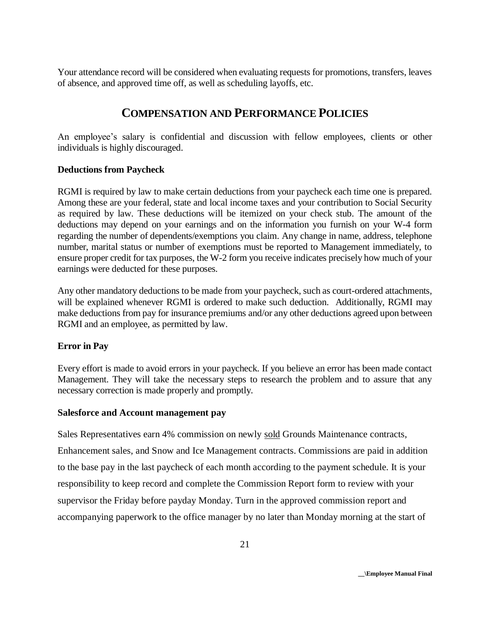Your attendance record will be considered when evaluating requests for promotions, transfers, leaves of absence, and approved time off, as well as scheduling layoffs, etc.

# **COMPENSATION AND PERFORMANCE POLICIES**

An employee's salary is confidential and discussion with fellow employees, clients or other individuals is highly discouraged.

### **Deductions from Paycheck**

RGMI is required by law to make certain deductions from your paycheck each time one is prepared. Among these are your federal, state and local income taxes and your contribution to Social Security as required by law. These deductions will be itemized on your check stub. The amount of the deductions may depend on your earnings and on the information you furnish on your W-4 form regarding the number of dependents/exemptions you claim. Any change in name, address, telephone number, marital status or number of exemptions must be reported to Management immediately, to ensure proper credit for tax purposes, the W-2 form you receive indicates precisely how much of your earnings were deducted for these purposes.

Any other mandatory deductions to be made from your paycheck, such as court-ordered attachments, will be explained whenever RGMI is ordered to make such deduction. Additionally, RGMI may make deductions from pay for insurance premiums and/or any other deductions agreed upon between RGMI and an employee, as permitted by law.

# **Error in Pay**

Every effort is made to avoid errors in your paycheck. If you believe an error has been made contact Management. They will take the necessary steps to research the problem and to assure that any necessary correction is made properly and promptly.

#### **Salesforce and Account management pay**

Sales Representatives earn 4% commission on newly sold Grounds Maintenance contracts, Enhancement sales, and Snow and Ice Management contracts. Commissions are paid in addition to the base pay in the last paycheck of each month according to the payment schedule. It is your responsibility to keep record and complete the Commission Report form to review with your supervisor the Friday before payday Monday. Turn in the approved commission report and accompanying paperwork to the office manager by no later than Monday morning at the start of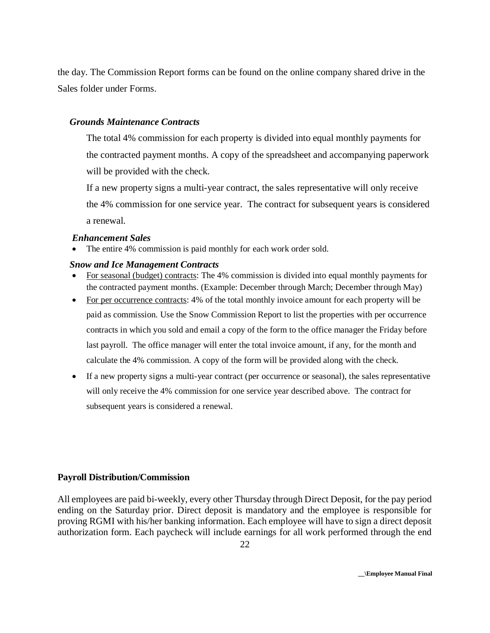the day. The Commission Report forms can be found on the online company shared drive in the Sales folder under Forms.

#### *Grounds Maintenance Contracts*

The total 4% commission for each property is divided into equal monthly payments for the contracted payment months. A copy of the spreadsheet and accompanying paperwork will be provided with the check.

If a new property signs a multi-year contract, the sales representative will only receive the 4% commission for one service year. The contract for subsequent years is considered a renewal.

#### *Enhancement Sales*

The entire 4% commission is paid monthly for each work order sold.

#### *Snow and Ice Management Contracts*

- For seasonal (budget) contracts: The 4% commission is divided into equal monthly payments for the contracted payment months. (Example: December through March; December through May)
- For per occurrence contracts: 4% of the total monthly invoice amount for each property will be paid as commission. Use the Snow Commission Report to list the properties with per occurrence contracts in which you sold and email a copy of the form to the office manager the Friday before last payroll. The office manager will enter the total invoice amount, if any, for the month and calculate the 4% commission. A copy of the form will be provided along with the check.
- If a new property signs a multi-year contract (per occurrence or seasonal), the sales representative will only receive the 4% commission for one service year described above. The contract for subsequent years is considered a renewal.

#### **Payroll Distribution/Commission**

All employees are paid bi-weekly, every other Thursday through Direct Deposit, for the pay period ending on the Saturday prior. Direct deposit is mandatory and the employee is responsible for proving RGMI with his/her banking information. Each employee will have to sign a direct deposit authorization form. Each paycheck will include earnings for all work performed through the end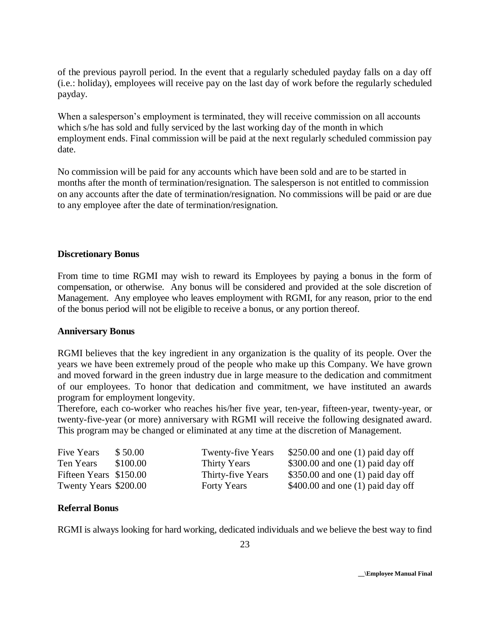of the previous payroll period. In the event that a regularly scheduled payday falls on a day off (i.e.: holiday), employees will receive pay on the last day of work before the regularly scheduled payday.

When a salesperson's employment is terminated, they will receive commission on all accounts which s/he has sold and fully serviced by the last working day of the month in which employment ends. Final commission will be paid at the next regularly scheduled commission pay date.

No commission will be paid for any accounts which have been sold and are to be started in months after the month of termination/resignation. The salesperson is not entitled to commission on any accounts after the date of termination/resignation. No commissions will be paid or are due to any employee after the date of termination/resignation.

#### **Discretionary Bonus**

From time to time RGMI may wish to reward its Employees by paying a bonus in the form of compensation, or otherwise. Any bonus will be considered and provided at the sole discretion of Management. Any employee who leaves employment with RGMI, for any reason, prior to the end of the bonus period will not be eligible to receive a bonus, or any portion thereof.

#### **Anniversary Bonus**

RGMI believes that the key ingredient in any organization is the quality of its people. Over the years we have been extremely proud of the people who make up this Company. We have grown and moved forward in the green industry due in large measure to the dedication and commitment of our employees. To honor that dedication and commitment, we have instituted an awards program for employment longevity.

Therefore, each co-worker who reaches his/her five year, ten-year, fifteen-year, twenty-year, or twenty-five-year (or more) anniversary with RGMI will receive the following designated award. This program may be changed or eliminated at any time at the discretion of Management.

| Five Years             | \$50.00  | <b>Twenty-five Years</b> | $$250.00$ and one (1) paid day off |
|------------------------|----------|--------------------------|------------------------------------|
| Ten Years              | \$100.00 | Thirty Years             | $$300.00$ and one (1) paid day off |
| Fifteen Years \$150.00 |          | Thirty-five Years        | \$350.00 and one (1) paid day off  |
| Twenty Years \$200.00  |          | <b>Forty Years</b>       | $$400.00$ and one (1) paid day off |

#### **Referral Bonus**

RGMI is always looking for hard working, dedicated individuals and we believe the best way to find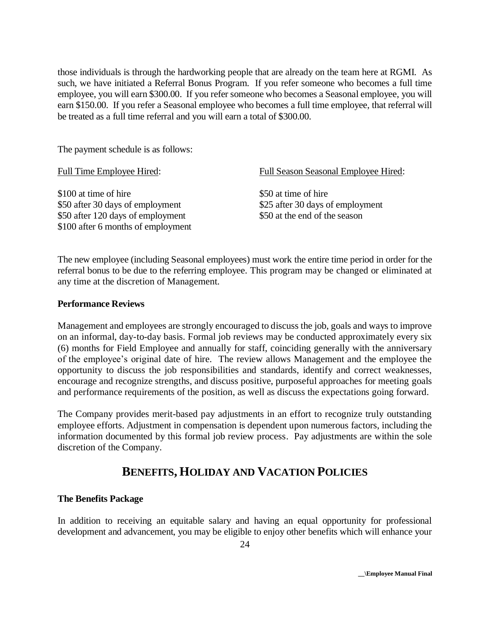those individuals is through the hardworking people that are already on the team here at RGMI. As such, we have initiated a Referral Bonus Program. If you refer someone who becomes a full time employee, you will earn \$300.00. If you refer someone who becomes a Seasonal employee, you will earn \$150.00. If you refer a Seasonal employee who becomes a full time employee, that referral will be treated as a full time referral and you will earn a total of \$300.00.

The payment schedule is as follows:

| <b>Full Time Employee Hired:</b>                                                                                                     | <b>Full Season Seasonal Employee Hired:</b>                                               |
|--------------------------------------------------------------------------------------------------------------------------------------|-------------------------------------------------------------------------------------------|
| \$100 at time of hire<br>\$50 after 30 days of employment<br>\$50 after 120 days of employment<br>\$100 after 6 months of employment | \$50 at time of hire<br>\$25 after 30 days of employment<br>\$50 at the end of the season |
|                                                                                                                                      |                                                                                           |

The new employee (including Seasonal employees) must work the entire time period in order for the referral bonus to be due to the referring employee. This program may be changed or eliminated at any time at the discretion of Management.

### **Performance Reviews**

Management and employees are strongly encouraged to discuss the job, goals and ways to improve on an informal, day-to-day basis. Formal job reviews may be conducted approximately every six (6) months for Field Employee and annually for staff, coinciding generally with the anniversary of the employee's original date of hire. The review allows Management and the employee the opportunity to discuss the job responsibilities and standards, identify and correct weaknesses, encourage and recognize strengths, and discuss positive, purposeful approaches for meeting goals and performance requirements of the position, as well as discuss the expectations going forward.

The Company provides merit-based pay adjustments in an effort to recognize truly outstanding employee efforts. Adjustment in compensation is dependent upon numerous factors, including the information documented by this formal job review process. Pay adjustments are within the sole discretion of the Company.

# **BENEFITS, HOLIDAY AND VACATION POLICIES**

# **The Benefits Package**

In addition to receiving an equitable salary and having an equal opportunity for professional development and advancement, you may be eligible to enjoy other benefits which will enhance your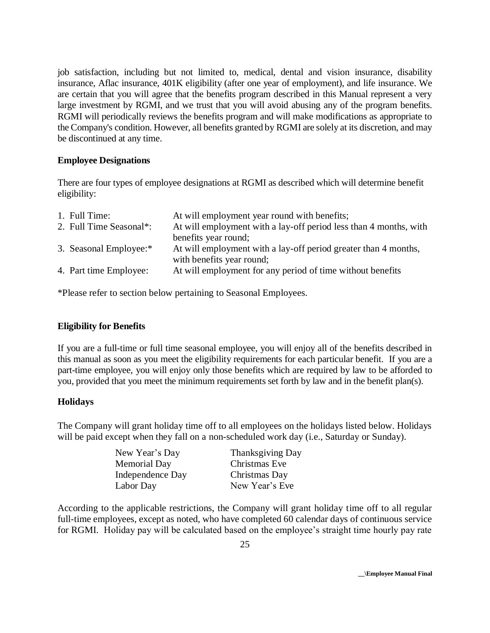job satisfaction, including but not limited to, medical, dental and vision insurance, disability insurance, Aflac insurance, 401K eligibility (after one year of employment), and life insurance. We are certain that you will agree that the benefits program described in this Manual represent a very large investment by RGMI, and we trust that you will avoid abusing any of the program benefits. RGMI will periodically reviews the benefits program and will make modifications as appropriate to the Company's condition. However, all benefits granted by RGMI are solely at its discretion, and may be discontinued at any time.

#### **Employee Designations**

There are four types of employee designations at RGMI as described which will determine benefit eligibility:

| 1. Full Time:           | At will employment year round with benefits;                      |
|-------------------------|-------------------------------------------------------------------|
| 2. Full Time Seasonal*: | At will employment with a lay-off period less than 4 months, with |
|                         | benefits year round;                                              |
| 3. Seasonal Employee:*  | At will employment with a lay-off period greater than 4 months,   |
|                         | with benefits year round;                                         |
| 4. Part time Employee:  | At will employment for any period of time without benefits        |
|                         |                                                                   |

\*Please refer to section below pertaining to Seasonal Employees.

# **Eligibility for Benefits**

If you are a full-time or full time seasonal employee, you will enjoy all of the benefits described in this manual as soon as you meet the eligibility requirements for each particular benefit. If you are a part-time employee, you will enjoy only those benefits which are required by law to be afforded to you, provided that you meet the minimum requirements set forth by law and in the benefit plan(s).

#### **Holidays**

The Company will grant holiday time off to all employees on the holidays listed below. Holidays will be paid except when they fall on a non-scheduled work day (i.e., Saturday or Sunday).

| Thanksgiving Day |
|------------------|
| Christmas Eve    |
| Christmas Day    |
| New Year's Eve   |
|                  |

According to the applicable restrictions, the Company will grant holiday time off to all regular full-time employees, except as noted, who have completed 60 calendar days of continuous service for RGMI. Holiday pay will be calculated based on the employee's straight time hourly pay rate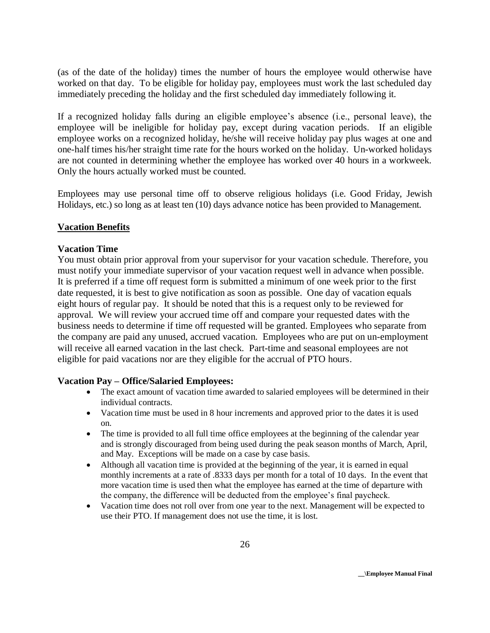(as of the date of the holiday) times the number of hours the employee would otherwise have worked on that day. To be eligible for holiday pay, employees must work the last scheduled day immediately preceding the holiday and the first scheduled day immediately following it.

If a recognized holiday falls during an eligible employee's absence (i.e., personal leave), the employee will be ineligible for holiday pay, except during vacation periods. If an eligible employee works on a recognized holiday, he/she will receive holiday pay plus wages at one and one-half times his/her straight time rate for the hours worked on the holiday. Un-worked holidays are not counted in determining whether the employee has worked over 40 hours in a workweek. Only the hours actually worked must be counted.

Employees may use personal time off to observe religious holidays (i.e. Good Friday, Jewish Holidays, etc.) so long as at least ten (10) days advance notice has been provided to Management.

#### **Vacation Benefits**

#### **Vacation Time**

You must obtain prior approval from your supervisor for your vacation schedule. Therefore, you must notify your immediate supervisor of your vacation request well in advance when possible. It is preferred if a time off request form is submitted a minimum of one week prior to the first date requested, it is best to give notification as soon as possible. One day of vacation equals eight hours of regular pay. It should be noted that this is a request only to be reviewed for approval. We will review your accrued time off and compare your requested dates with the business needs to determine if time off requested will be granted. Employees who separate from the company are paid any unused, accrued vacation. Employees who are put on un-employment will receive all earned vacation in the last check. Part-time and seasonal employees are not eligible for paid vacations nor are they eligible for the accrual of PTO hours.

#### **Vacation Pay – Office/Salaried Employees:**

- The exact amount of vacation time awarded to salaried employees will be determined in their individual contracts.
- Vacation time must be used in 8 hour increments and approved prior to the dates it is used on.
- The time is provided to all full time office employees at the beginning of the calendar year and is strongly discouraged from being used during the peak season months of March, April, and May. Exceptions will be made on a case by case basis.
- Although all vacation time is provided at the beginning of the year, it is earned in equal monthly increments at a rate of .8333 days per month for a total of 10 days. In the event that more vacation time is used then what the employee has earned at the time of departure with the company, the difference will be deducted from the employee's final paycheck.
- Vacation time does not roll over from one year to the next. Management will be expected to use their PTO. If management does not use the time, it is lost.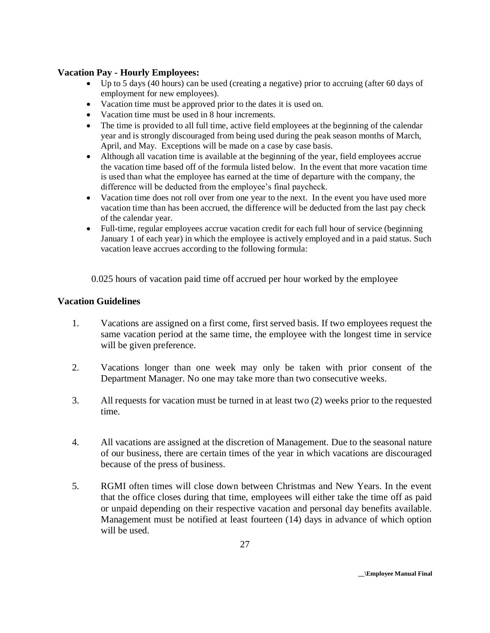#### **Vacation Pay - Hourly Employees:**

- Up to 5 days (40 hours) can be used (creating a negative) prior to accruing (after 60 days of employment for new employees).
- Vacation time must be approved prior to the dates it is used on.
- Vacation time must be used in 8 hour increments.
- The time is provided to all full time, active field employees at the beginning of the calendar year and is strongly discouraged from being used during the peak season months of March, April, and May. Exceptions will be made on a case by case basis.
- Although all vacation time is available at the beginning of the year, field employees accrue the vacation time based off of the formula listed below. In the event that more vacation time is used than what the employee has earned at the time of departure with the company, the difference will be deducted from the employee's final paycheck.
- Vacation time does not roll over from one year to the next. In the event you have used more vacation time than has been accrued, the difference will be deducted from the last pay check of the calendar year.
- Full-time, regular employees accrue vacation credit for each full hour of service (beginning January 1 of each year) in which the employee is actively employed and in a paid status. Such vacation leave accrues according to the following formula:

0.025 hours of vacation paid time off accrued per hour worked by the employee

### **Vacation Guidelines**

- 1. Vacations are assigned on a first come, first served basis. If two employees request the same vacation period at the same time, the employee with the longest time in service will be given preference.
- 2. Vacations longer than one week may only be taken with prior consent of the Department Manager. No one may take more than two consecutive weeks.
- 3. All requests for vacation must be turned in at least two (2) weeks prior to the requested time.
- 4. All vacations are assigned at the discretion of Management. Due to the seasonal nature of our business, there are certain times of the year in which vacations are discouraged because of the press of business.
- 5. RGMI often times will close down between Christmas and New Years. In the event that the office closes during that time, employees will either take the time off as paid or unpaid depending on their respective vacation and personal day benefits available. Management must be notified at least fourteen (14) days in advance of which option will be used.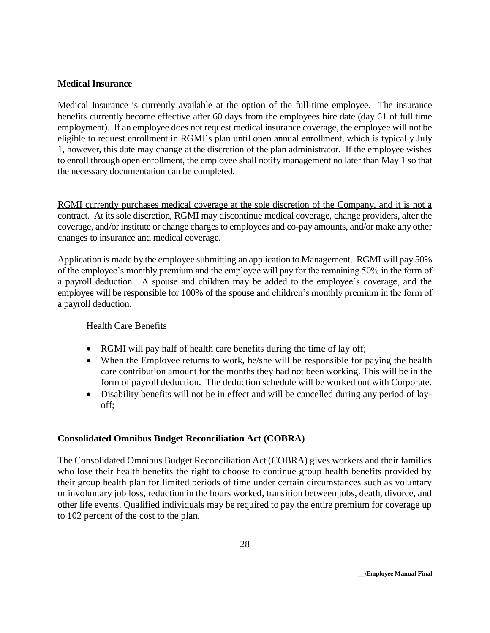#### **Medical Insurance**

Medical Insurance is currently available at the option of the full-time employee. The insurance benefits currently become effective after 60 days from the employees hire date (day 61 of full time employment). If an employee does not request medical insurance coverage, the employee will not be eligible to request enrollment in RGMI's plan until open annual enrollment, which is typically July 1, however, this date may change at the discretion of the plan administrator. If the employee wishes to enroll through open enrollment, the employee shall notify management no later than May 1 so that the necessary documentation can be completed.

RGMI currently purchases medical coverage at the sole discretion of the Company, and it is not a contract. At its sole discretion, RGMI may discontinue medical coverage, change providers, alter the coverage, and/or institute or change charges to employees and co-pay amounts, and/or make any other changes to insurance and medical coverage.

Application is made by the employee submitting an application to Management. RGMI will pay 50% of the employee's monthly premium and the employee will pay for the remaining 50% in the form of a payroll deduction. A spouse and children may be added to the employee's coverage, and the employee will be responsible for 100% of the spouse and children's monthly premium in the form of a payroll deduction.

# Health Care Benefits

- RGMI will pay half of health care benefits during the time of lay off;
- When the Employee returns to work, he/she will be responsible for paying the health care contribution amount for the months they had not been working. This will be in the form of payroll deduction. The deduction schedule will be worked out with Corporate.
- Disability benefits will not be in effect and will be cancelled during any period of layoff;

# **Consolidated Omnibus Budget Reconciliation Act (COBRA)**

The Consolidated Omnibus Budget Reconciliation Act (COBRA) gives workers and their families who lose their health benefits the right to choose to continue group health benefits provided by their group health plan for limited periods of time under certain circumstances such as voluntary or involuntary job loss, reduction in the hours worked, transition between jobs, death, divorce, and other life events. Qualified individuals may be required to pay the entire premium for coverage up to 102 percent of the cost to the plan.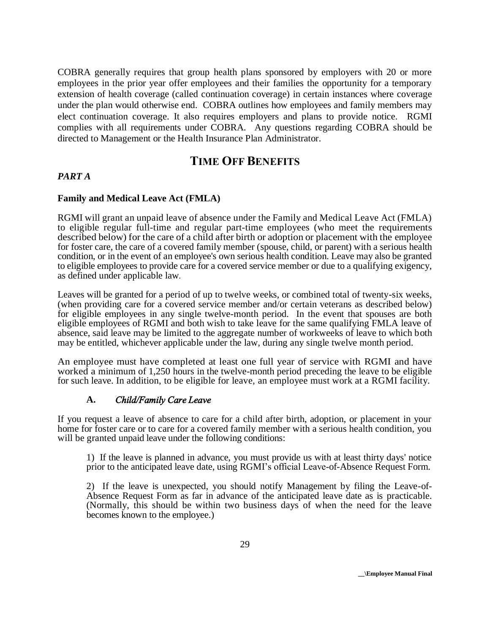COBRA generally requires that group health plans sponsored by employers with 20 or more employees in the prior year offer employees and their families the opportunity for a temporary extension of health coverage (called continuation coverage) in certain instances where coverage under the plan would otherwise end. COBRA outlines how employees and family members may elect continuation coverage. It also requires employers and plans to provide notice. RGMI complies with all requirements under COBRA. Any questions regarding COBRA should be directed to Management or the Health Insurance Plan Administrator.

# **TIME OFF BENEFITS**

#### *PART A*

#### **Family and Medical Leave Act (FMLA)**

RGMI will grant an unpaid leave of absence under the Family and Medical Leave Act (FMLA) to eligible regular full-time and regular part-time employees (who meet the requirements described below) for the care of a child after birth or adoption or placement with the employee for foster care, the care of a covered family member (spouse, child, or parent) with a serious health condition, or in the event of an employee's own serious health condition. Leave may also be granted to eligible employees to provide care for a covered service member or due to a qualifying exigency, as defined under applicable law*.* 

Leaves will be granted for a period of up to twelve weeks, or combined total of twenty-six weeks, (when providing care for a covered service member and/or certain veterans as described below) for eligible employees in any single twelve-month period. In the event that spouses are both eligible employees of RGMI and both wish to take leave for the same qualifying FMLA leave of absence, said leave may be limited to the aggregate number of workweeks of leave to which both may be entitled, whichever applicable under the law, during any single twelve month period.

An employee must have completed at least one full year of service with RGMI and have worked a minimum of 1,250 hours in the twelve-month period preceding the leave to be eligible for such leave. In addition, to be eligible for leave, an employee must work at a RGMI facility.

#### **A.** *Child/Family Care Leave*

If you request a leave of absence to care for a child after birth, adoption, or placement in your home for foster care or to care for a covered family member with a serious health condition, you will be granted unpaid leave under the following conditions:

1) If the leave is planned in advance, you must provide us with at least thirty days' notice prior to the anticipated leave date, using RGMI's official Leave-of-Absence Request Form.

2) If the leave is unexpected, you should notify Management by filing the Leave-of-Absence Request Form as far in advance of the anticipated leave date as is practicable. (Normally, this should be within two business days of when the need for the leave becomes known to the employee.)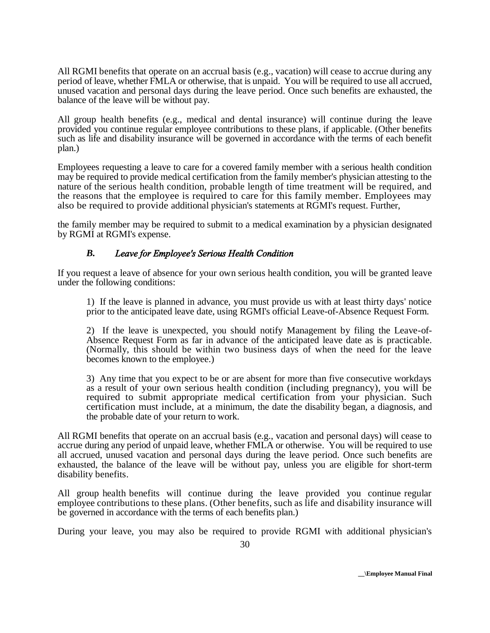All RGMI benefits that operate on an accrual basis (e.g., vacation) will cease to accrue during any period of leave, whether FMLA or otherwise, that is unpaid. You will be required to use all accrued, unused vacation and personal days during the leave period. Once such benefits are exhausted, the balance of the leave will be without pay.

All group health benefits (e.g., medical and dental insurance) will continue during the leave provided you continue regular employee contributions to these plans, if applicable. (Other benefits such as life and disability insurance will be governed in accordance with the terms of each benefit plan.)

Employees requesting a leave to care for a covered family member with a serious health condition may be required to provide medical certification from the family member's physician attesting to the nature of the serious health condition, probable length of time treatment will be required, and the reasons that the employee is required to care for this family member. Employees may also be required to provide additional physician's statements at RGMI's request. Further,

the family member may be required to submit to a medical examination by a physician designated by RGMI at RGMI's expense.

### *B. Leave for Employee's Serious Health Condition*

If you request a leave of absence for your own serious health condition, you will be granted leave under the following conditions:

1) If the leave is planned in advance, you must provide us with at least thirty days' notice prior to the anticipated leave date, using RGMI's official Leave-of-Absence Request Form.

2) If the leave is unexpected, you should notify Management by filing the Leave-of-Absence Request Form as far in advance of the anticipated leave date as is practicable. (Normally, this should be within two business days of when the need for the leave becomes known to the employee.)

3) Any time that you expect to be or are absent for more than five consecutive workdays as a result of your own serious health condition (including pregnancy), you will be required to submit appropriate medical certification from your physician. Such certification must include, at a minimum, the date the disability began, a diagnosis, and the probable date of your return to work.

All RGMI benefits that operate on an accrual basis (e.g., vacation and personal days) will cease to accrue during any period of unpaid leave, whether FMLA or otherwise. You will be required to use all accrued, unused vacation and personal days during the leave period. Once such benefits are exhausted, the balance of the leave will be without pay, unless you are eligible for short-term disability benefits.

All group health benefits will continue during the leave provided you continue regular employee contributions to these plans. (Other benefits, such as life and disability insurance will be governed in accordance with the terms of each benefits plan.)

During your leave, you may also be required to provide RGMI with additional physician's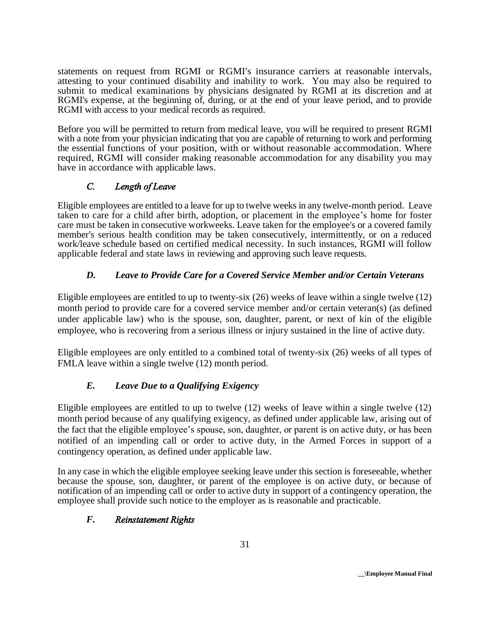statements on request from RGMI or RGMI's insurance carriers at reasonable intervals, attesting to your continued disability and inability to work. You may also be required to submit to medical examinations by physicians designated by RGMI at its discretion and at RGMI's expense, at the beginning of, during, or at the end of your leave period, and to provide RGMI with access to your medical records as required.

Before you will be permitted to return from medical leave, you will be required to present RGMI with a note from your physician indicating that you are capable of returning to work and performing the essential functions of your position, with or without reasonable accommodation. Where required, RGMI will consider making reasonable accommodation for any disability you may have in accordance with applicable laws.

# *C. Length of Leave*

Eligible employees are entitled to a leave for up to twelve weeks in any twelve-month period. Leave taken to care for a child after birth, adoption, or placement in the employee's home for foster care must be taken in consecutive workweeks. Leave taken for the employee's or a covered family member's serious health condition may be taken consecutively, intermittently, or on a reduced work/leave schedule based on certified medical necessity. In such instances, RGMI will follow applicable federal and state laws in reviewing and approving such leave requests.

# *D. Leave to Provide Care for a Covered Service Member and/or Certain Veterans*

Eligible employees are entitled to up to twenty-six (26) weeks of leave within a single twelve (12) month period to provide care for a covered service member and/or certain veteran(s) (as defined under applicable law) who is the spouse, son, daughter, parent, or next of kin of the eligible employee, who is recovering from a serious illness or injury sustained in the line of active duty.

Eligible employees are only entitled to a combined total of twenty-six (26) weeks of all types of FMLA leave within a single twelve (12) month period.

# *E. Leave Due to a Qualifying Exigency*

Eligible employees are entitled to up to twelve (12) weeks of leave within a single twelve (12) month period because of any qualifying exigency, as defined under applicable law, arising out of the fact that the eligible employee's spouse, son, daughter, or parent is on active duty, or has been notified of an impending call or order to active duty, in the Armed Forces in support of a contingency operation, as defined under applicable law.

In any case in which the eligible employee seeking leave under this section is foreseeable, whether because the spouse, son, daughter, or parent of the employee is on active duty, or because of notification of an impending call or order to active duty in support of a contingency operation, the employee shall provide such notice to the employer as is reasonable and practicable.

# *F. Reinstatement Rights*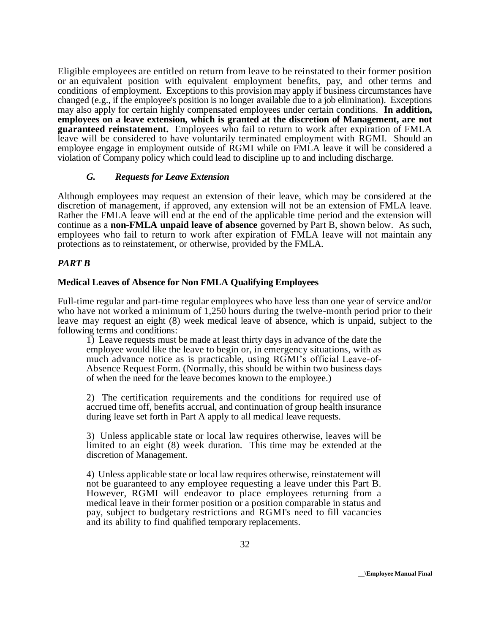Eligible employees are entitled on return from leave to be reinstated to their former position or an equivalent position with equivalent employment benefits, pay, and other terms and conditions of employment. Exceptions to this provision may apply if business circumstances have changed (e.g., if the employee's position is no longer available due to a job elimination). Exceptions may also apply for certain highly compensated employees under certain conditions. **In addition, employees on a leave extension, which is granted at the discretion of Management, are not guaranteed reinstatement.** Employees who fail to return to work after expiration of FMLA leave will be considered to have voluntarily terminated employment with RGMI. Should an employee engage in employment outside of RGMI while on FMLA leave it will be considered a violation of Company policy which could lead to discipline up to and including discharge.

#### *G. Requests for Leave Extension*

Although employees may request an extension of their leave, which may be considered at the discretion of management, if approved, any extension will not be an extension of FMLA leave. Rather the FMLA leave will end at the end of the applicable time period and the extension will continue as a **non-FMLA unpaid leave of absence** governed by Part B, shown below. As such, employees who fail to return to work after expiration of FMLA leave will not maintain any protections as to reinstatement, or otherwise, provided by the FMLA.

### *PART B*

#### **Medical Leaves of Absence for Non FMLA Qualifying Employees**

Full-time regular and part-time regular employees who have less than one year of service and/or who have not worked a minimum of 1,250 hours during the twelve-month period prior to their leave may request an eight (8) week medical leave of absence, which is unpaid, subject to the following terms and conditions:

1) Leave requests must be made at least thirty days in advance of the date the employee would like the leave to begin or, in emergency situations, with as much advance notice as is practicable, using RGMI's official Leave-of-Absence Request Form. (Normally, this should be within two business days of when the need for the leave becomes known to the employee.)

2) The certification requirements and the conditions for required use of accrued time off, benefits accrual, and continuation of group health insurance during leave set forth in Part A apply to all medical leave requests.

3) Unless applicable state or local law requires otherwise, leaves will be limited to an eight (8) week duration. This time may be extended at the discretion of Management.

4) Unless applicable state or local law requires otherwise, reinstatement will not be guaranteed to any employee requesting a leave under this Part B. However, RGMI will endeavor to place employees returning from a medical leave in their former position or a position comparable in status and pay, subject to budgetary restrictions and RGMI's need to fill vacancies and its ability to find qualified temporary replacements.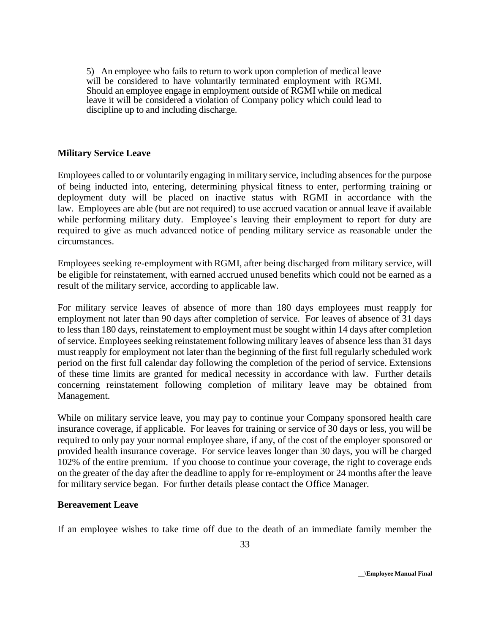5) An employee who fails to return to work upon completion of medical leave will be considered to have voluntarily terminated employment with RGMI. Should an employee engage in employment outside of RGMI while on medical leave it will be considered a violation of Company policy which could lead to discipline up to and including discharge.

#### **Military Service Leave**

Employees called to or voluntarily engaging in military service, including absences for the purpose of being inducted into, entering, determining physical fitness to enter, performing training or deployment duty will be placed on inactive status with RGMI in accordance with the law. Employees are able (but are not required) to use accrued vacation or annual leave if available while performing military duty. Employee's leaving their employment to report for duty are required to give as much advanced notice of pending military service as reasonable under the circumstances.

Employees seeking re-employment with RGMI, after being discharged from military service, will be eligible for reinstatement, with earned accrued unused benefits which could not be earned as a result of the military service, according to applicable law.

For military service leaves of absence of more than 180 days employees must reapply for employment not later than 90 days after completion of service. For leaves of absence of 31 days to less than 180 days, reinstatement to employment must be sought within 14 days after completion of service. Employees seeking reinstatement following military leaves of absence less than 31 days must reapply for employment not later than the beginning of the first full regularly scheduled work period on the first full calendar day following the completion of the period of service. Extensions of these time limits are granted for medical necessity in accordance with law. Further details concerning reinstatement following completion of military leave may be obtained from Management.

While on military service leave, you may pay to continue your Company sponsored health care insurance coverage, if applicable. For leaves for training or service of 30 days or less, you will be required to only pay your normal employee share, if any, of the cost of the employer sponsored or provided health insurance coverage. For service leaves longer than 30 days, you will be charged 102% of the entire premium. If you choose to continue your coverage, the right to coverage ends on the greater of the day after the deadline to apply for re-employment or 24 months after the leave for military service began. For further details please contact the Office Manager.

#### **Bereavement Leave**

If an employee wishes to take time off due to the death of an immediate family member the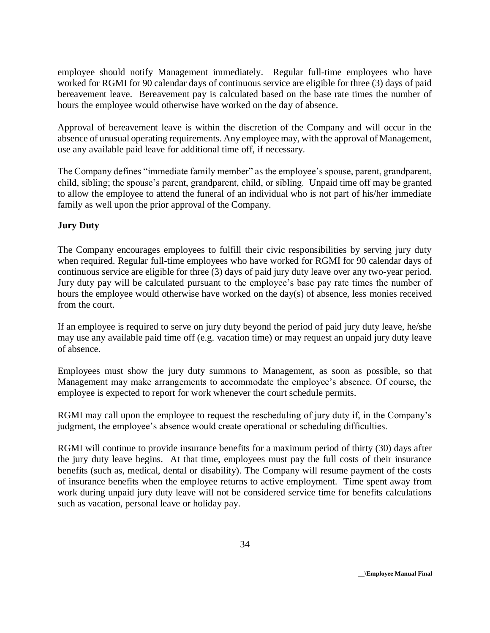employee should notify Management immediately. Regular full-time employees who have worked for RGMI for 90 calendar days of continuous service are eligible for three (3) days of paid bereavement leave. Bereavement pay is calculated based on the base rate times the number of hours the employee would otherwise have worked on the day of absence.

Approval of bereavement leave is within the discretion of the Company and will occur in the absence of unusual operating requirements. Any employee may, with the approval of Management, use any available paid leave for additional time off, if necessary.

The Company defines "immediate family member" as the employee's spouse, parent, grandparent, child, sibling; the spouse's parent, grandparent, child, or sibling. Unpaid time off may be granted to allow the employee to attend the funeral of an individual who is not part of his/her immediate family as well upon the prior approval of the Company.

# **Jury Duty**

The Company encourages employees to fulfill their civic responsibilities by serving jury duty when required. Regular full-time employees who have worked for RGMI for 90 calendar days of continuous service are eligible for three (3) days of paid jury duty leave over any two-year period. Jury duty pay will be calculated pursuant to the employee's base pay rate times the number of hours the employee would otherwise have worked on the day(s) of absence, less monies received from the court.

If an employee is required to serve on jury duty beyond the period of paid jury duty leave, he/she may use any available paid time off (e.g. vacation time) or may request an unpaid jury duty leave of absence.

Employees must show the jury duty summons to Management, as soon as possible, so that Management may make arrangements to accommodate the employee's absence. Of course, the employee is expected to report for work whenever the court schedule permits.

RGMI may call upon the employee to request the rescheduling of jury duty if, in the Company's judgment, the employee's absence would create operational or scheduling difficulties.

RGMI will continue to provide insurance benefits for a maximum period of thirty (30) days after the jury duty leave begins. At that time, employees must pay the full costs of their insurance benefits (such as, medical, dental or disability). The Company will resume payment of the costs of insurance benefits when the employee returns to active employment. Time spent away from work during unpaid jury duty leave will not be considered service time for benefits calculations such as vacation, personal leave or holiday pay.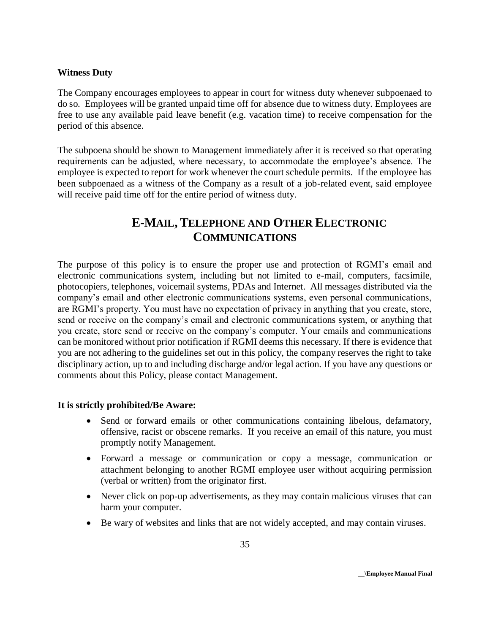#### **Witness Duty**

The Company encourages employees to appear in court for witness duty whenever subpoenaed to do so. Employees will be granted unpaid time off for absence due to witness duty. Employees are free to use any available paid leave benefit (e.g. vacation time) to receive compensation for the period of this absence.

The subpoena should be shown to Management immediately after it is received so that operating requirements can be adjusted, where necessary, to accommodate the employee's absence. The employee is expected to report for work whenever the court schedule permits. If the employee has been subpoenaed as a witness of the Company as a result of a job-related event, said employee will receive paid time off for the entire period of witness duty.

# **E-MAIL, TELEPHONE AND OTHER ELECTRONIC COMMUNICATIONS**

The purpose of this policy is to ensure the proper use and protection of RGMI's email and electronic communications system, including but not limited to e-mail, computers, facsimile, photocopiers, telephones, voicemail systems, PDAs and Internet. All messages distributed via the company's email and other electronic communications systems, even personal communications, are RGMI's property. You must have no expectation of privacy in anything that you create, store, send or receive on the company's email and electronic communications system, or anything that you create, store send or receive on the company's computer. Your emails and communications can be monitored without prior notification if RGMI deems this necessary. If there is evidence that you are not adhering to the guidelines set out in this policy, the company reserves the right to take disciplinary action, up to and including discharge and/or legal action. If you have any questions or comments about this Policy, please contact Management.

#### **It is strictly prohibited/Be Aware:**

- Send or forward emails or other communications containing libelous, defamatory, offensive, racist or obscene remarks. If you receive an email of this nature, you must promptly notify Management.
- Forward a message or communication or copy a message, communication or attachment belonging to another RGMI employee user without acquiring permission (verbal or written) from the originator first.
- Never click on pop-up advertisements, as they may contain malicious viruses that can harm your computer.
- Be wary of websites and links that are not widely accepted, and may contain viruses.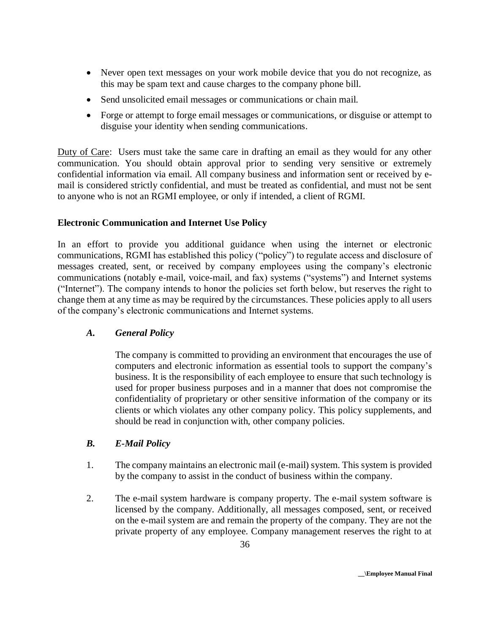- Never open text messages on your work mobile device that you do not recognize, as this may be spam text and cause charges to the company phone bill.
- Send unsolicited email messages or communications or chain mail.
- Forge or attempt to forge email messages or communications, or disguise or attempt to disguise your identity when sending communications.

Duty of Care: Users must take the same care in drafting an email as they would for any other communication. You should obtain approval prior to sending very sensitive or extremely confidential information via email. All company business and information sent or received by email is considered strictly confidential, and must be treated as confidential, and must not be sent to anyone who is not an RGMI employee, or only if intended, a client of RGMI.

# **Electronic Communication and Internet Use Policy**

In an effort to provide you additional guidance when using the internet or electronic communications, RGMI has established this policy ("policy") to regulate access and disclosure of messages created, sent, or received by company employees using the company's electronic communications (notably e-mail, voice-mail, and fax) systems ("systems") and Internet systems ("Internet"). The company intends to honor the policies set forth below, but reserves the right to change them at any time as may be required by the circumstances. These policies apply to all users of the company's electronic communications and Internet systems.

# *A. General Policy*

The company is committed to providing an environment that encourages the use of computers and electronic information as essential tools to support the company's business. It is the responsibility of each employee to ensure that such technology is used for proper business purposes and in a manner that does not compromise the confidentiality of proprietary or other sensitive information of the company or its clients or which violates any other company policy. This policy supplements, and should be read in conjunction with, other company policies.

# *B. E-Mail Policy*

- 1. The company maintains an electronic mail (e-mail) system. This system is provided by the company to assist in the conduct of business within the company.
- 2. The e-mail system hardware is company property. The e-mail system software is licensed by the company. Additionally, all messages composed, sent, or received on the e-mail system are and remain the property of the company. They are not the private property of any employee. Company management reserves the right to at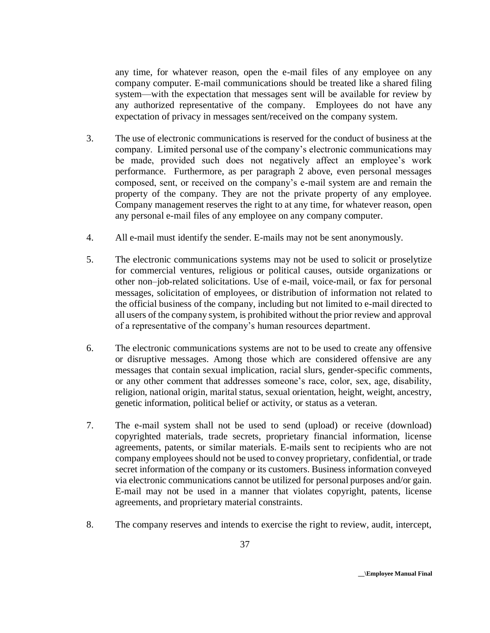any time, for whatever reason, open the e-mail files of any employee on any company computer. E-mail communications should be treated like a shared filing system—with the expectation that messages sent will be available for review by any authorized representative of the company. Employees do not have any expectation of privacy in messages sent/received on the company system.

- 3. The use of electronic communications is reserved for the conduct of business at the company. Limited personal use of the company's electronic communications may be made, provided such does not negatively affect an employee's work performance. Furthermore, as per paragraph 2 above, even personal messages composed, sent, or received on the company's e-mail system are and remain the property of the company. They are not the private property of any employee. Company management reserves the right to at any time, for whatever reason, open any personal e-mail files of any employee on any company computer.
- 4. All e-mail must identify the sender. E-mails may not be sent anonymously.
- 5. The electronic communications systems may not be used to solicit or proselytize for commercial ventures, religious or political causes, outside organizations or other non–job-related solicitations. Use of e-mail, voice-mail, or fax for personal messages, solicitation of employees, or distribution of information not related to the official business of the company, including but not limited to e-mail directed to all users of the company system, is prohibited without the prior review and approval of a representative of the company's human resources department.
- 6. The electronic communications systems are not to be used to create any offensive or disruptive messages. Among those which are considered offensive are any messages that contain sexual implication, racial slurs, gender-specific comments, or any other comment that addresses someone's race, color, sex, age, disability, religion, national origin, marital status, sexual orientation, height, weight, ancestry, genetic information, political belief or activity, or status as a veteran.
- 7. The e-mail system shall not be used to send (upload) or receive (download) copyrighted materials, trade secrets, proprietary financial information, license agreements, patents, or similar materials. E-mails sent to recipients who are not company employees should not be used to convey proprietary, confidential, or trade secret information of the company or its customers. Business information conveyed via electronic communications cannot be utilized for personal purposes and/or gain. E-mail may not be used in a manner that violates copyright, patents, license agreements, and proprietary material constraints.
- 8. The company reserves and intends to exercise the right to review, audit, intercept,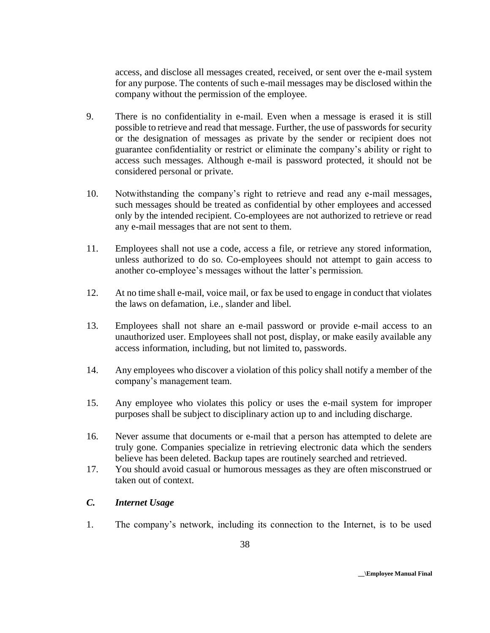access, and disclose all messages created, received, or sent over the e-mail system for any purpose. The contents of such e-mail messages may be disclosed within the company without the permission of the employee.

- 9. There is no confidentiality in e-mail. Even when a message is erased it is still possible to retrieve and read that message. Further, the use of passwords for security or the designation of messages as private by the sender or recipient does not guarantee confidentiality or restrict or eliminate the company's ability or right to access such messages. Although e-mail is password protected, it should not be considered personal or private.
- 10. Notwithstanding the company's right to retrieve and read any e-mail messages, such messages should be treated as confidential by other employees and accessed only by the intended recipient. Co-employees are not authorized to retrieve or read any e-mail messages that are not sent to them.
- 11. Employees shall not use a code, access a file, or retrieve any stored information, unless authorized to do so. Co-employees should not attempt to gain access to another co-employee's messages without the latter's permission.
- 12. At no time shall e-mail, voice mail, or fax be used to engage in conduct that violates the laws on defamation, i.e., slander and libel.
- 13. Employees shall not share an e-mail password or provide e-mail access to an unauthorized user. Employees shall not post, display, or make easily available any access information, including, but not limited to, passwords.
- 14. Any employees who discover a violation of this policy shall notify a member of the company's management team.
- 15. Any employee who violates this policy or uses the e-mail system for improper purposes shall be subject to disciplinary action up to and including discharge.
- 16. Never assume that documents or e-mail that a person has attempted to delete are truly gone. Companies specialize in retrieving electronic data which the senders believe has been deleted. Backup tapes are routinely searched and retrieved.
- 17. You should avoid casual or humorous messages as they are often misconstrued or taken out of context.

# *C. Internet Usage*

1. The company's network, including its connection to the Internet, is to be used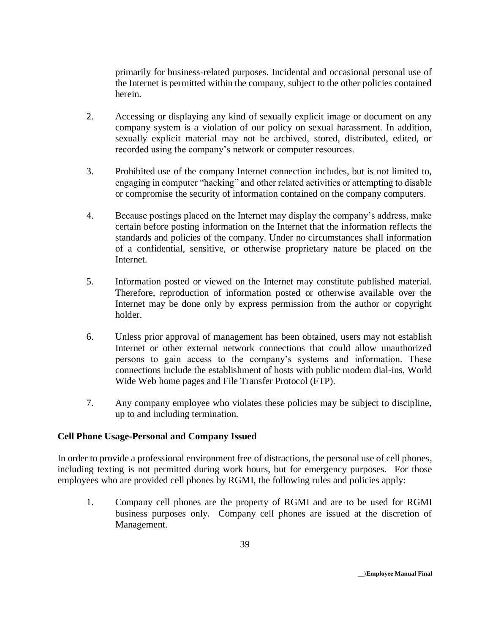primarily for business-related purposes. Incidental and occasional personal use of the Internet is permitted within the company, subject to the other policies contained herein.

- 2. Accessing or displaying any kind of sexually explicit image or document on any company system is a violation of our policy on sexual harassment. In addition, sexually explicit material may not be archived, stored, distributed, edited, or recorded using the company's network or computer resources.
- 3. Prohibited use of the company Internet connection includes, but is not limited to, engaging in computer "hacking" and other related activities or attempting to disable or compromise the security of information contained on the company computers.
- 4. Because postings placed on the Internet may display the company's address, make certain before posting information on the Internet that the information reflects the standards and policies of the company. Under no circumstances shall information of a confidential, sensitive, or otherwise proprietary nature be placed on the Internet.
- 5. Information posted or viewed on the Internet may constitute published material. Therefore, reproduction of information posted or otherwise available over the Internet may be done only by express permission from the author or copyright holder.
- 6. Unless prior approval of management has been obtained, users may not establish Internet or other external network connections that could allow unauthorized persons to gain access to the company's systems and information. These connections include the establishment of hosts with public modem dial-ins, World Wide Web home pages and File Transfer Protocol (FTP).
- 7. Any company employee who violates these policies may be subject to discipline, up to and including termination.

#### **Cell Phone Usage-Personal and Company Issued**

In order to provide a professional environment free of distractions, the personal use of cell phones, including texting is not permitted during work hours, but for emergency purposes. For those employees who are provided cell phones by RGMI, the following rules and policies apply:

1. Company cell phones are the property of RGMI and are to be used for RGMI business purposes only. Company cell phones are issued at the discretion of Management.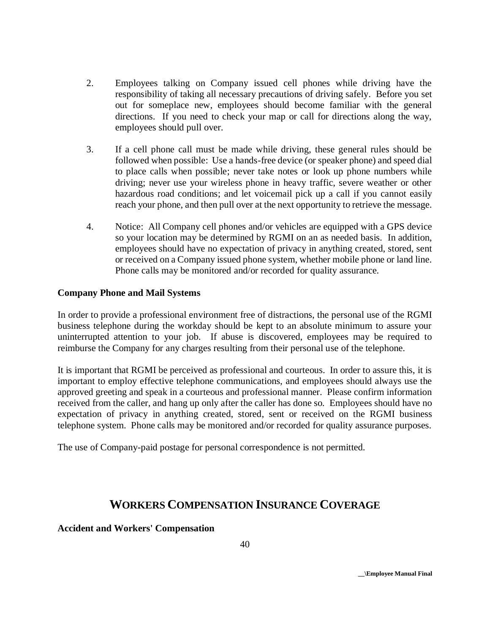- 2. Employees talking on Company issued cell phones while driving have the responsibility of taking all necessary precautions of driving safely. Before you set out for someplace new, employees should become familiar with the general directions. If you need to check your map or call for directions along the way, employees should pull over.
- 3. If a cell phone call must be made while driving, these general rules should be followed when possible: Use a hands-free device (or speaker phone) and speed dial to place calls when possible; never take notes or look up phone numbers while driving; never use your wireless phone in heavy traffic, severe weather or other hazardous road conditions; and let voicemail pick up a call if you cannot easily reach your phone, and then pull over at the next opportunity to retrieve the message.
- 4. Notice: All Company cell phones and/or vehicles are equipped with a GPS device so your location may be determined by RGMI on an as needed basis. In addition, employees should have no expectation of privacy in anything created, stored, sent or received on a Company issued phone system, whether mobile phone or land line. Phone calls may be monitored and/or recorded for quality assurance.

### **Company Phone and Mail Systems**

In order to provide a professional environment free of distractions, the personal use of the RGMI business telephone during the workday should be kept to an absolute minimum to assure your uninterrupted attention to your job. If abuse is discovered, employees may be required to reimburse the Company for any charges resulting from their personal use of the telephone.

It is important that RGMI be perceived as professional and courteous. In order to assure this, it is important to employ effective telephone communications, and employees should always use the approved greeting and speak in a courteous and professional manner. Please confirm information received from the caller, and hang up only after the caller has done so. Employees should have no expectation of privacy in anything created, stored, sent or received on the RGMI business telephone system. Phone calls may be monitored and/or recorded for quality assurance purposes.

The use of Company-paid postage for personal correspondence is not permitted.

# **WORKERS COMPENSATION INSURANCE COVERAGE**

**Accident and Workers' Compensation**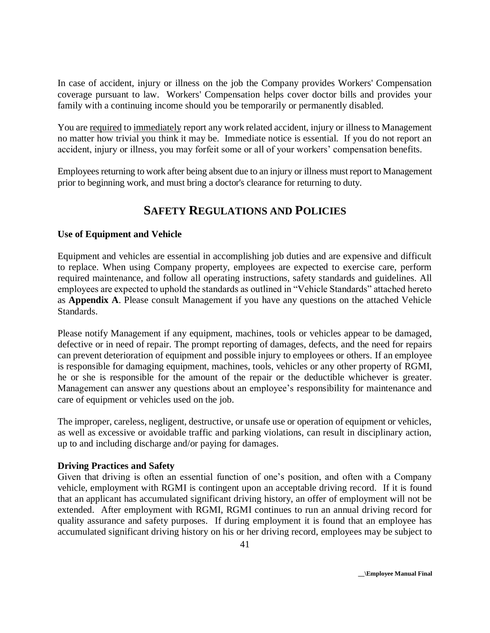In case of accident, injury or illness on the job the Company provides Workers' Compensation coverage pursuant to law. Workers' Compensation helps cover doctor bills and provides your family with a continuing income should you be temporarily or permanently disabled.

You are required to immediately report any work related accident, injury or illness to Management no matter how trivial you think it may be. Immediate notice is essential. If you do not report an accident, injury or illness, you may forfeit some or all of your workers' compensation benefits.

Employees returning to work after being absent due to an injury or illness must report to Management prior to beginning work, and must bring a doctor's clearance for returning to duty.

# **SAFETY REGULATIONS AND POLICIES**

# **Use of Equipment and Vehicle**

Equipment and vehicles are essential in accomplishing job duties and are expensive and difficult to replace. When using Company property, employees are expected to exercise care, perform required maintenance, and follow all operating instructions, safety standards and guidelines. All employees are expected to uphold the standards as outlined in "Vehicle Standards" attached hereto as **Appendix A**. Please consult Management if you have any questions on the attached Vehicle Standards.

Please notify Management if any equipment, machines, tools or vehicles appear to be damaged, defective or in need of repair. The prompt reporting of damages, defects, and the need for repairs can prevent deterioration of equipment and possible injury to employees or others. If an employee is responsible for damaging equipment, machines, tools, vehicles or any other property of RGMI, he or she is responsible for the amount of the repair or the deductible whichever is greater. Management can answer any questions about an employee's responsibility for maintenance and care of equipment or vehicles used on the job.

The improper, careless, negligent, destructive, or unsafe use or operation of equipment or vehicles, as well as excessive or avoidable traffic and parking violations, can result in disciplinary action, up to and including discharge and/or paying for damages.

#### **Driving Practices and Safety**

Given that driving is often an essential function of one's position, and often with a Company vehicle, employment with RGMI is contingent upon an acceptable driving record. If it is found that an applicant has accumulated significant driving history, an offer of employment will not be extended. After employment with RGMI, RGMI continues to run an annual driving record for quality assurance and safety purposes. If during employment it is found that an employee has accumulated significant driving history on his or her driving record, employees may be subject to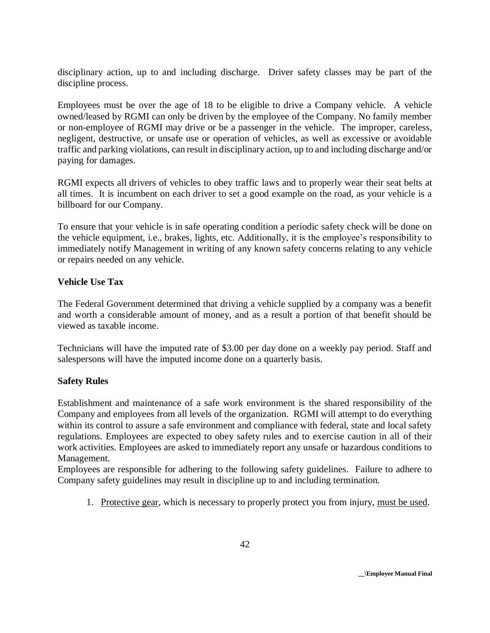disciplinary action, up to and including discharge. Driver safety classes may be part of the discipline process.

Employees must be over the age of 18 to be eligible to drive a Company vehicle. A vehicle owned/leased by RGMI can only be driven by the employee of the Company. No family member or non-employee of RGMI may drive or be a passenger in the vehicle. The improper, careless, negligent, destructive, or unsafe use or operation of vehicles, as well as excessive or avoidable traffic and parking violations, can result in disciplinary action, up to and including discharge and/or paying for damages.

RGMI expects all drivers of vehicles to obey traffic laws and to properly wear their seat belts at all times. It is incumbent on each driver to set a good example on the road, as your vehicle is a billboard for our Company.

To ensure that your vehicle is in safe operating condition a periodic safety check will be done on the vehicle equipment, i.e., brakes, lights, etc. Additionally, it is the employee's responsibility to immediately notify Management in writing of any known safety concerns relating to any vehicle or repairs needed on any vehicle.

### **Vehicle Use Tax**

The Federal Government determined that driving a vehicle supplied by a company was a benefit and worth a considerable amount of money, and as a result a portion of that benefit should be viewed as taxable income.

Technicians will have the imputed rate of \$3.00 per day done on a weekly pay period. Staff and salespersons will have the imputed income done on a quarterly basis.

#### **Safety Rules**

Establishment and maintenance of a safe work environment is the shared responsibility of the Company and employees from all levels of the organization. RGMI will attempt to do everything within its control to assure a safe environment and compliance with federal, state and local safety regulations. Employees are expected to obey safety rules and to exercise caution in all of their work activities. Employees are asked to immediately report any unsafe or hazardous conditions to Management.

Employees are responsible for adhering to the following safety guidelines. Failure to adhere to Company safety guidelines may result in discipline up to and including termination.

1. Protective gear, which is necessary to properly protect you from injury, must be used.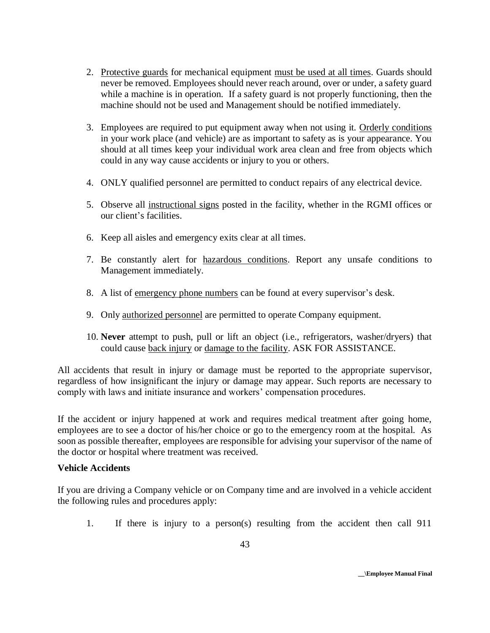- 2. Protective guards for mechanical equipment must be used at all times. Guards should never be removed. Employees should never reach around, over or under, a safety guard while a machine is in operation. If a safety guard is not properly functioning, then the machine should not be used and Management should be notified immediately.
- 3. Employees are required to put equipment away when not using it. Orderly conditions in your work place (and vehicle) are as important to safety as is your appearance. You should at all times keep your individual work area clean and free from objects which could in any way cause accidents or injury to you or others.
- 4. ONLY qualified personnel are permitted to conduct repairs of any electrical device.
- 5. Observe all instructional signs posted in the facility, whether in the RGMI offices or our client's facilities.
- 6. Keep all aisles and emergency exits clear at all times.
- 7. Be constantly alert for hazardous conditions. Report any unsafe conditions to Management immediately.
- 8. A list of emergency phone numbers can be found at every supervisor's desk.
- 9. Only authorized personnel are permitted to operate Company equipment.
- 10. **Never** attempt to push, pull or lift an object (i.e., refrigerators, washer/dryers) that could cause back injury or damage to the facility. ASK FOR ASSISTANCE.

All accidents that result in injury or damage must be reported to the appropriate supervisor, regardless of how insignificant the injury or damage may appear. Such reports are necessary to comply with laws and initiate insurance and workers' compensation procedures.

If the accident or injury happened at work and requires medical treatment after going home, employees are to see a doctor of his/her choice or go to the emergency room at the hospital. As soon as possible thereafter, employees are responsible for advising your supervisor of the name of the doctor or hospital where treatment was received.

#### **Vehicle Accidents**

If you are driving a Company vehicle or on Company time and are involved in a vehicle accident the following rules and procedures apply:

1. If there is injury to a person(s) resulting from the accident then call 911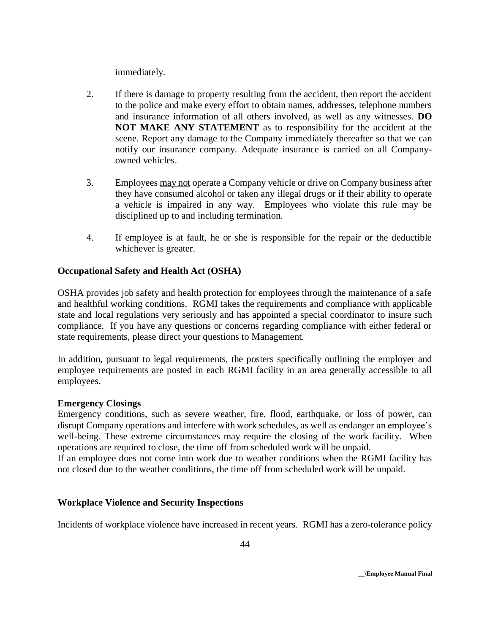immediately.

- 2. If there is damage to property resulting from the accident, then report the accident to the police and make every effort to obtain names, addresses, telephone numbers and insurance information of all others involved, as well as any witnesses. **DO NOT MAKE ANY STATEMENT** as to responsibility for the accident at the scene. Report any damage to the Company immediately thereafter so that we can notify our insurance company. Adequate insurance is carried on all Companyowned vehicles.
- 3. Employees may not operate a Company vehicle or drive on Company business after they have consumed alcohol or taken any illegal drugs or if their ability to operate a vehicle is impaired in any way. Employees who violate this rule may be disciplined up to and including termination.
- 4. If employee is at fault, he or she is responsible for the repair or the deductible whichever is greater.

# **Occupational Safety and Health Act (OSHA)**

OSHA provides job safety and health protection for employees through the maintenance of a safe and healthful working conditions. RGMI takes the requirements and compliance with applicable state and local regulations very seriously and has appointed a special coordinator to insure such compliance. If you have any questions or concerns regarding compliance with either federal or state requirements, please direct your questions to Management.

In addition, pursuant to legal requirements, the posters specifically outlining the employer and employee requirements are posted in each RGMI facility in an area generally accessible to all employees.

#### **Emergency Closings**

Emergency conditions, such as severe weather, fire, flood, earthquake, or loss of power, can disrupt Company operations and interfere with work schedules, as well as endanger an employee's well-being. These extreme circumstances may require the closing of the work facility. When operations are required to close, the time off from scheduled work will be unpaid.

If an employee does not come into work due to weather conditions when the RGMI facility has not closed due to the weather conditions, the time off from scheduled work will be unpaid.

# **Workplace Violence and Security Inspections**

Incidents of workplace violence have increased in recent years. RGMI has a zero-tolerance policy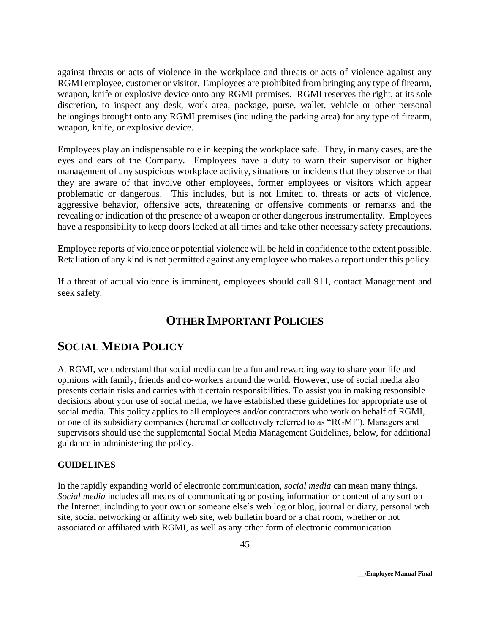against threats or acts of violence in the workplace and threats or acts of violence against any RGMI employee, customer or visitor. Employees are prohibited from bringing any type of firearm, weapon, knife or explosive device onto any RGMI premises. RGMI reserves the right, at its sole discretion, to inspect any desk, work area, package, purse, wallet, vehicle or other personal belongings brought onto any RGMI premises (including the parking area) for any type of firearm, weapon, knife, or explosive device.

Employees play an indispensable role in keeping the workplace safe. They, in many cases, are the eyes and ears of the Company. Employees have a duty to warn their supervisor or higher management of any suspicious workplace activity, situations or incidents that they observe or that they are aware of that involve other employees, former employees or visitors which appear problematic or dangerous. This includes, but is not limited to, threats or acts of violence, aggressive behavior, offensive acts, threatening or offensive comments or remarks and the revealing or indication of the presence of a weapon or other dangerous instrumentality. Employees have a responsibility to keep doors locked at all times and take other necessary safety precautions.

Employee reports of violence or potential violence will be held in confidence to the extent possible. Retaliation of any kind is not permitted against any employee who makes a report under this policy.

If a threat of actual violence is imminent, employees should call 911, contact Management and seek safety.

# **OTHER IMPORTANT POLICIES**

# **SOCIAL MEDIA POLICY**

At RGMI, we understand that social media can be a fun and rewarding way to share your life and opinions with family, friends and co-workers around the world. However, use of social media also presents certain risks and carries with it certain responsibilities. To assist you in making responsible decisions about your use of social media, we have established these guidelines for appropriate use of social media. This policy applies to all employees and/or contractors who work on behalf of RGMI, or one of its subsidiary companies (hereinafter collectively referred to as "RGMI"). Managers and supervisors should use the supplemental Social Media Management Guidelines, below, for additional guidance in administering the policy.

#### **GUIDELINES**

In the rapidly expanding world of electronic communication, *social media* can mean many things. *Social media* includes all means of communicating or posting information or content of any sort on the Internet, including to your own or someone else's web log or blog, journal or diary, personal web site, social networking or affinity web site, web bulletin board or a chat room, whether or not associated or affiliated with RGMI, as well as any other form of electronic communication.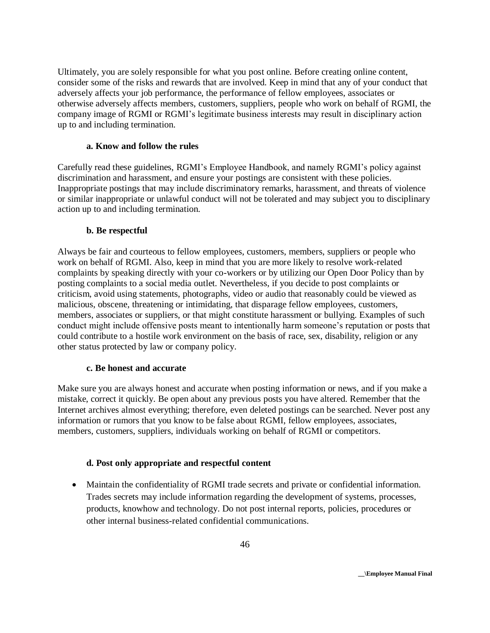Ultimately, you are solely responsible for what you post online. Before creating online content, consider some of the risks and rewards that are involved. Keep in mind that any of your conduct that adversely affects your job performance, the performance of fellow employees, associates or otherwise adversely affects members, customers, suppliers, people who work on behalf of RGMI, the company image of RGMI or RGMI's legitimate business interests may result in disciplinary action up to and including termination.

#### **a. Know and follow the rules**

Carefully read these guidelines, RGMI's Employee Handbook, and namely RGMI's policy against discrimination and harassment, and ensure your postings are consistent with these policies. Inappropriate postings that may include discriminatory remarks, harassment, and threats of violence or similar inappropriate or unlawful conduct will not be tolerated and may subject you to disciplinary action up to and including termination.

#### **b. Be respectful**

Always be fair and courteous to fellow employees, customers, members, suppliers or people who work on behalf of RGMI. Also, keep in mind that you are more likely to resolve work-related complaints by speaking directly with your co-workers or by utilizing our Open Door Policy than by posting complaints to a social media outlet. Nevertheless, if you decide to post complaints or criticism, avoid using statements, photographs, video or audio that reasonably could be viewed as malicious, obscene, threatening or intimidating, that disparage fellow employees, customers, members, associates or suppliers, or that might constitute harassment or bullying. Examples of such conduct might include offensive posts meant to intentionally harm someone's reputation or posts that could contribute to a hostile work environment on the basis of race, sex, disability, religion or any other status protected by law or company policy.

#### **c. Be honest and accurate**

Make sure you are always honest and accurate when posting information or news, and if you make a mistake, correct it quickly. Be open about any previous posts you have altered. Remember that the Internet archives almost everything; therefore, even deleted postings can be searched. Never post any information or rumors that you know to be false about RGMI, fellow employees, associates, members, customers, suppliers, individuals working on behalf of RGMI or competitors.

#### **d. Post only appropriate and respectful content**

 Maintain the confidentiality of RGMI trade secrets and private or confidential information. Trades secrets may include information regarding the development of systems, processes, products, knowhow and technology. Do not post internal reports, policies, procedures or other internal business-related confidential communications.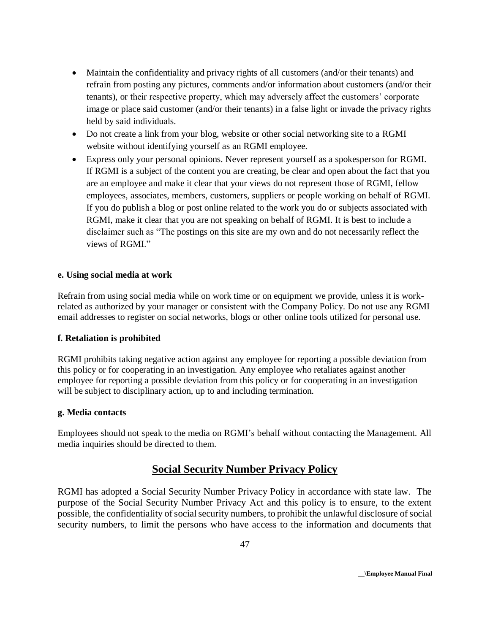- Maintain the confidentiality and privacy rights of all customers (and/or their tenants) and refrain from posting any pictures, comments and/or information about customers (and/or their tenants), or their respective property, which may adversely affect the customers' corporate image or place said customer (and/or their tenants) in a false light or invade the privacy rights held by said individuals.
- Do not create a link from your blog, website or other social networking site to a RGMI website without identifying yourself as an RGMI employee.
- Express only your personal opinions. Never represent yourself as a spokesperson for RGMI. If RGMI is a subject of the content you are creating, be clear and open about the fact that you are an employee and make it clear that your views do not represent those of RGMI, fellow employees, associates, members, customers, suppliers or people working on behalf of RGMI. If you do publish a blog or post online related to the work you do or subjects associated with RGMI, make it clear that you are not speaking on behalf of RGMI. It is best to include a disclaimer such as "The postings on this site are my own and do not necessarily reflect the views of RGMI<sup>"</sup>

#### **e. Using social media at work**

Refrain from using social media while on work time or on equipment we provide, unless it is workrelated as authorized by your manager or consistent with the Company Policy. Do not use any RGMI email addresses to register on social networks, blogs or other online tools utilized for personal use.

#### **f. Retaliation is prohibited**

RGMI prohibits taking negative action against any employee for reporting a possible deviation from this policy or for cooperating in an investigation. Any employee who retaliates against another employee for reporting a possible deviation from this policy or for cooperating in an investigation will be subject to disciplinary action, up to and including termination.

#### **g. Media contacts**

Employees should not speak to the media on RGMI's behalf without contacting the Management. All media inquiries should be directed to them.

# **Social Security Number Privacy Policy**

RGMI has adopted a Social Security Number Privacy Policy in accordance with state law. The purpose of the Social Security Number Privacy Act and this policy is to ensure, to the extent possible, the confidentiality of social security numbers, to prohibit the unlawful disclosure of social security numbers, to limit the persons who have access to the information and documents that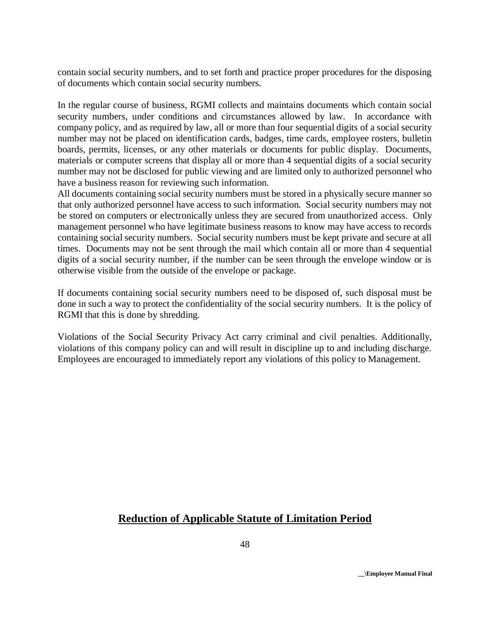contain social security numbers, and to set forth and practice proper procedures for the disposing of documents which contain social security numbers.

In the regular course of business, RGMI collects and maintains documents which contain social security numbers, under conditions and circumstances allowed by law. In accordance with company policy, and as required by law, all or more than four sequential digits of a social security number may not be placed on identification cards, badges, time cards, employee rosters, bulletin boards, permits, licenses, or any other materials or documents for public display. Documents, materials or computer screens that display all or more than 4 sequential digits of a social security number may not be disclosed for public viewing and are limited only to authorized personnel who have a business reason for reviewing such information.

All documents containing social security numbers must be stored in a physically secure manner so that only authorized personnel have access to such information. Social security numbers may not be stored on computers or electronically unless they are secured from unauthorized access. Only management personnel who have legitimate business reasons to know may have access to records containing social security numbers. Social security numbers must be kept private and secure at all times. Documents may not be sent through the mail which contain all or more than 4 sequential digits of a social security number, if the number can be seen through the envelope window or is otherwise visible from the outside of the envelope or package.

If documents containing social security numbers need to be disposed of, such disposal must be done in such a way to protect the confidentiality of the social security numbers. It is the policy of RGMI that this is done by shredding.

Violations of the Social Security Privacy Act carry criminal and civil penalties. Additionally, violations of this company policy can and will result in discipline up to and including discharge. Employees are encouraged to immediately report any violations of this policy to Management.

# **Reduction of Applicable Statute of Limitation Period**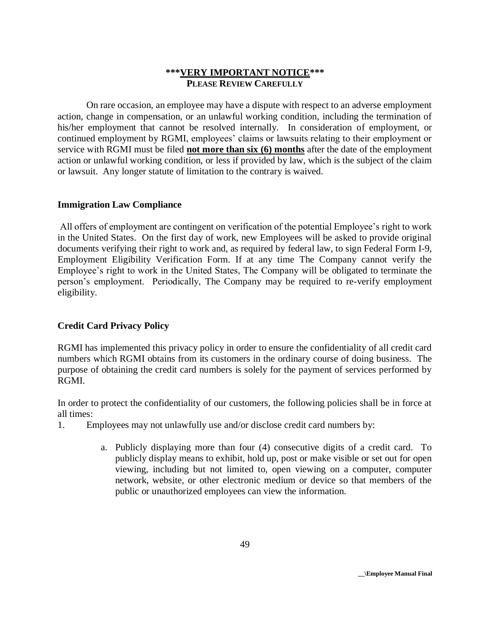### **\*\*\*VERY IMPORTANT NOTICE\*\*\* PLEASE REVIEW CAREFULLY**

On rare occasion, an employee may have a dispute with respect to an adverse employment action, change in compensation, or an unlawful working condition, including the termination of his/her employment that cannot be resolved internally. In consideration of employment, or continued employment by RGMI, employees' claims or lawsuits relating to their employment or service with RGMI must be filed **not more than six (6) months** after the date of the employment action or unlawful working condition, or less if provided by law, which is the subject of the claim or lawsuit. Any longer statute of limitation to the contrary is waived.

#### **Immigration Law Compliance**

All offers of employment are contingent on verification of the potential Employee's right to work in the United States. On the first day of work, new Employees will be asked to provide original documents verifying their right to work and, as required by federal law, to sign Federal Form I-9, Employment Eligibility Verification Form. If at any time The Company cannot verify the Employee's right to work in the United States, The Company will be obligated to terminate the person's employment. Periodically, The Company may be required to re-verify employment eligibility.

# **Credit Card Privacy Policy**

RGMI has implemented this privacy policy in order to ensure the confidentiality of all credit card numbers which RGMI obtains from its customers in the ordinary course of doing business. The purpose of obtaining the credit card numbers is solely for the payment of services performed by RGMI.

In order to protect the confidentiality of our customers, the following policies shall be in force at all times:

- 1. Employees may not unlawfully use and/or disclose credit card numbers by:
	- a. Publicly displaying more than four (4) consecutive digits of a credit card. To publicly display means to exhibit, hold up, post or make visible or set out for open viewing, including but not limited to, open viewing on a computer, computer network, website, or other electronic medium or device so that members of the public or unauthorized employees can view the information.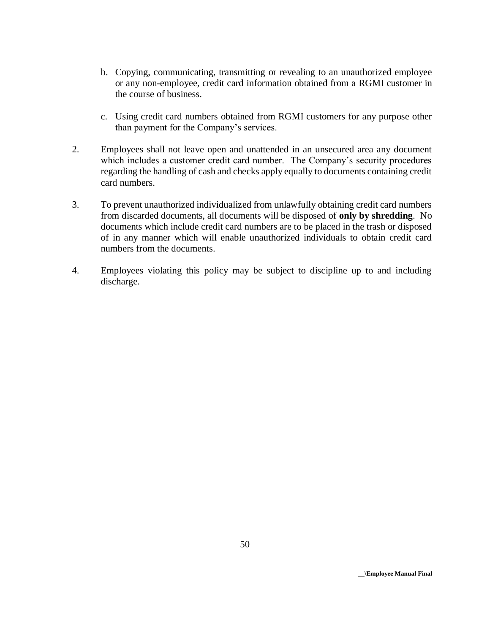- b. Copying, communicating, transmitting or revealing to an unauthorized employee or any non-employee, credit card information obtained from a RGMI customer in the course of business.
- c. Using credit card numbers obtained from RGMI customers for any purpose other than payment for the Company's services.
- 2. Employees shall not leave open and unattended in an unsecured area any document which includes a customer credit card number. The Company's security procedures regarding the handling of cash and checks apply equally to documents containing credit card numbers.
- 3. To prevent unauthorized individualized from unlawfully obtaining credit card numbers from discarded documents, all documents will be disposed of **only by shredding**. No documents which include credit card numbers are to be placed in the trash or disposed of in any manner which will enable unauthorized individuals to obtain credit card numbers from the documents.
- 4. Employees violating this policy may be subject to discipline up to and including discharge.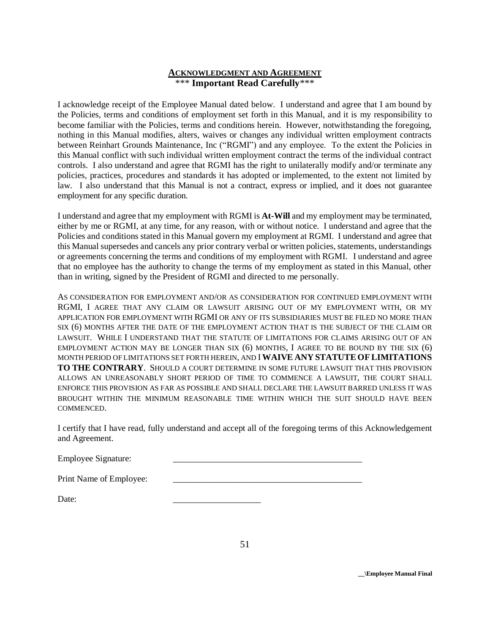#### **ACKNOWLEDGMENT AND AGREEMENT** \*\*\* **Important Read Carefully**\*\*\*

I acknowledge receipt of the Employee Manual dated below. I understand and agree that I am bound by the Policies, terms and conditions of employment set forth in this Manual, and it is my responsibility to become familiar with the Policies, terms and conditions herein. However, notwithstanding the foregoing, nothing in this Manual modifies, alters, waives or changes any individual written employment contracts between Reinhart Grounds Maintenance, Inc ("RGMI") and any employee. To the extent the Policies in this Manual conflict with such individual written employment contract the terms of the individual contract controls. I also understand and agree that RGMI has the right to unilaterally modify and/or terminate any policies, practices, procedures and standards it has adopted or implemented, to the extent not limited by law. I also understand that this Manual is not a contract, express or implied, and it does not guarantee employment for any specific duration.

I understand and agree that my employment with RGMI is **At-Will** and my employment may be terminated, either by me or RGMI, at any time, for any reason, with or without notice. I understand and agree that the Policies and conditions stated in this Manual govern my employment at RGMI. I understand and agree that this Manual supersedes and cancels any prior contrary verbal or written policies, statements, understandings or agreements concerning the terms and conditions of my employment with RGMI. I understand and agree that no employee has the authority to change the terms of my employment as stated in this Manual, other than in writing, signed by the President of RGMI and directed to me personally.

AS CONSIDERATION FOR EMPLOYMENT AND/OR AS CONSIDERATION FOR CONTINUED EMPLOYMENT WITH RGMI, I AGREE THAT ANY CLAIM OR LAWSUIT ARISING OUT OF MY EMPLOYMENT WITH, OR MY APPLICATION FOR EMPLOYMENT WITH RGMI OR ANY OF ITS SUBSIDIARIES MUST BE FILED NO MORE THAN SIX (6) MONTHS AFTER THE DATE OF THE EMPLOYMENT ACTION THAT IS THE SUBJECT OF THE CLAIM OR LAWSUIT. WHILE I UNDERSTAND THAT THE STATUTE OF LIMITATIONS FOR CLAIMS ARISING OUT OF AN EMPLOYMENT ACTION MAY BE LONGER THAN SIX (6) MONTHS, I AGREE TO BE BOUND BY THE SIX (6) MONTH PERIOD OF LIMITATIONS SET FORTH HEREIN, AND I **WAIVE ANY STATUTE OFLIMITATIONS TO THE CONTRARY**. SHOULD A COURT DETERMINE IN SOME FUTURE LAWSUIT THAT THIS PROVISION ALLOWS AN UNREASONABLY SHORT PERIOD OF TIME TO COMMENCE A LAWSUIT, THE COURT SHALL ENFORCE THIS PROVISION AS FAR AS POSSIBLE AND SHALL DECLARE THE LAWSUIT BARRED UNLESS IT WAS BROUGHT WITHIN THE MINIMUM REASONABLE TIME WITHIN WHICH THE SUIT SHOULD HAVE BEEN COMMENCED.

I certify that I have read, fully understand and accept all of the foregoing terms of this Acknowledgement and Agreement.

Employee Signature:

| Print Name of Employee: |  |
|-------------------------|--|
|                         |  |

Date: \_\_\_\_\_\_\_\_\_\_\_\_\_\_\_\_\_\_\_\_

**\_\_\Employee Manual Final**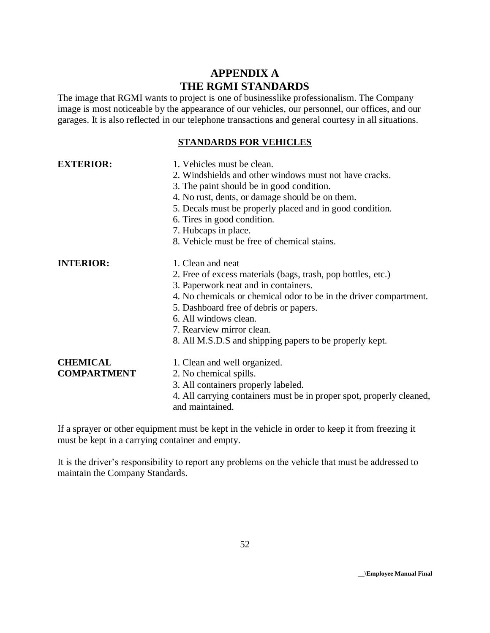# **APPENDIX A THE RGMI STANDARDS**

The image that RGMI wants to project is one of businesslike professionalism. The Company image is most noticeable by the appearance of our vehicles, our personnel, our offices, and our garages. It is also reflected in our telephone transactions and general courtesy in all situations.

# **STANDARDS FOR VEHICLES**

| <b>EXTERIOR:</b>                      | 1. Vehicles must be clean.<br>2. Windshields and other windows must not have cracks.<br>3. The paint should be in good condition.<br>4. No rust, dents, or damage should be on them.<br>5. Decals must be properly placed and in good condition.<br>6. Tires in good condition.<br>7. Hubcaps in place.<br>8. Vehicle must be free of chemical stains.    |
|---------------------------------------|-----------------------------------------------------------------------------------------------------------------------------------------------------------------------------------------------------------------------------------------------------------------------------------------------------------------------------------------------------------|
| <b>INTERIOR:</b>                      | 1. Clean and neat<br>2. Free of excess materials (bags, trash, pop bottles, etc.)<br>3. Paperwork neat and in containers.<br>4. No chemicals or chemical odor to be in the driver compartment.<br>5. Dashboard free of debris or papers.<br>6. All windows clean.<br>7. Rearview mirror clean.<br>8. All M.S.D.S and shipping papers to be properly kept. |
| <b>CHEMICAL</b><br><b>COMPARTMENT</b> | 1. Clean and well organized.<br>2. No chemical spills.<br>3. All containers properly labeled.<br>4. All carrying containers must be in proper spot, properly cleaned,<br>and maintained.                                                                                                                                                                  |

If a sprayer or other equipment must be kept in the vehicle in order to keep it from freezing it must be kept in a carrying container and empty.

It is the driver's responsibility to report any problems on the vehicle that must be addressed to maintain the Company Standards.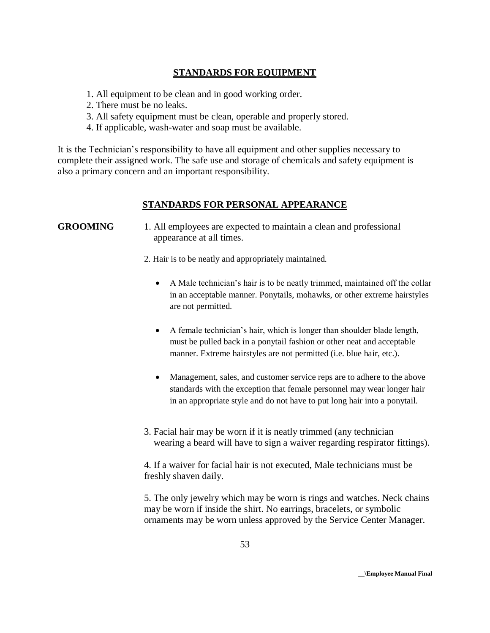# **STANDARDS FOR EQUIPMENT**

- 1. All equipment to be clean and in good working order.
- 2. There must be no leaks.
- 3. All safety equipment must be clean, operable and properly stored.
- 4. If applicable, wash-water and soap must be available.

It is the Technician's responsibility to have all equipment and other supplies necessary to complete their assigned work. The safe use and storage of chemicals and safety equipment is also a primary concern and an important responsibility.

### **STANDARDS FOR PERSONAL APPEARANCE**

### **GROOMING** 1. All employees are expected to maintain a clean and professional appearance at all times.

- 2. Hair is to be neatly and appropriately maintained.
	- A Male technician's hair is to be neatly trimmed, maintained off the collar in an acceptable manner. Ponytails, mohawks, or other extreme hairstyles are not permitted.
	- A female technician's hair, which is longer than shoulder blade length, must be pulled back in a ponytail fashion or other neat and acceptable manner. Extreme hairstyles are not permitted (i.e. blue hair, etc.).
	- Management, sales, and customer service reps are to adhere to the above standards with the exception that female personnel may wear longer hair in an appropriate style and do not have to put long hair into a ponytail.
- 3. Facial hair may be worn if it is neatly trimmed (any technician wearing a beard will have to sign a waiver regarding respirator fittings).

4. If a waiver for facial hair is not executed, Male technicians must be freshly shaven daily.

5. The only jewelry which may be worn is rings and watches. Neck chains may be worn if inside the shirt. No earrings, bracelets, or symbolic ornaments may be worn unless approved by the Service Center Manager.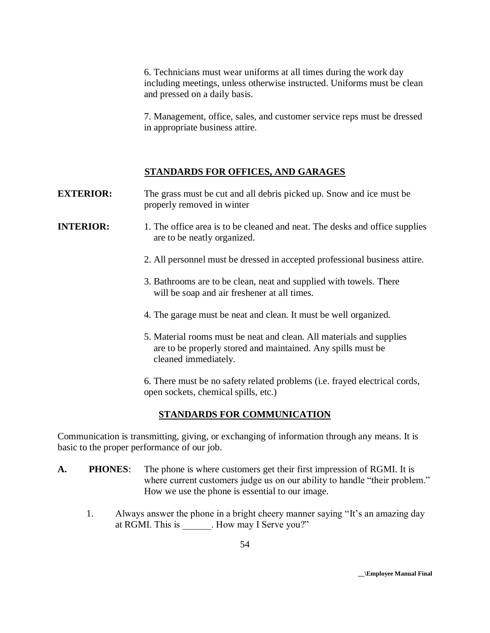6. Technicians must wear uniforms at all times during the work day including meetings, unless otherwise instructed. Uniforms must be clean and pressed on a daily basis.

7. Management, office, sales, and customer service reps must be dressed in appropriate business attire.

#### **STANDARDS FOR OFFICES, AND GARAGES**

**EXTERIOR:** The grass must be cut and all debris picked up. Snow and ice must be properly removed in winter

- **INTERIOR:** 1. The office area is to be cleaned and neat. The desks and office supplies are to be neatly organized.
	- 2. All personnel must be dressed in accepted professional business attire.
	- 3. Bathrooms are to be clean, neat and supplied with towels. There will be soap and air freshener at all times.
	- 4. The garage must be neat and clean. It must be well organized.
	- 5. Material rooms must be neat and clean. All materials and supplies are to be properly stored and maintained. Any spills must be cleaned immediately.

6. There must be no safety related problems (i.e. frayed electrical cords, open sockets, chemical spills, etc.)

#### **STANDARDS FOR COMMUNICATION**

Communication is transmitting, giving, or exchanging of information through any means. It is basic to the proper performance of our job.

- **A. PHONES**: The phone is where customers get their first impression of RGMI. It is where current customers judge us on our ability to handle "their problem." How we use the phone is essential to our image.
	- 1. Always answer the phone in a bright cheery manner saying "It's an amazing day at RGMI. This is . How may I Serve you?"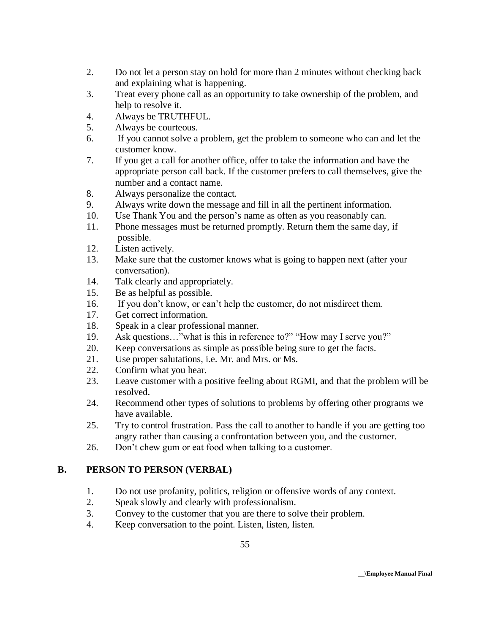- 2. Do not let a person stay on hold for more than 2 minutes without checking back and explaining what is happening.
- 3. Treat every phone call as an opportunity to take ownership of the problem, and help to resolve it.
- 4. Always be TRUTHFUL.
- 5. Always be courteous.
- 6. If you cannot solve a problem, get the problem to someone who can and let the customer know.
- 7. If you get a call for another office, offer to take the information and have the appropriate person call back. If the customer prefers to call themselves, give the number and a contact name.
- 8. Always personalize the contact.
- 9. Always write down the message and fill in all the pertinent information.
- 10. Use Thank You and the person's name as often as you reasonably can.
- 11. Phone messages must be returned promptly. Return them the same day, if possible.
- 12. Listen actively.
- 13. Make sure that the customer knows what is going to happen next (after your conversation).
- 14. Talk clearly and appropriately.
- 15. Be as helpful as possible.
- 16. If you don't know, or can't help the customer, do not misdirect them.
- 17. Get correct information.
- 18. Speak in a clear professional manner.
- 19. Ask questions..." what is this in reference to?" "How may I serve you?"
- 20. Keep conversations as simple as possible being sure to get the facts.
- 21. Use proper salutations, i.e. Mr. and Mrs. or Ms.
- 22. Confirm what you hear.
- 23. Leave customer with a positive feeling about RGMI, and that the problem will be resolved.
- 24. Recommend other types of solutions to problems by offering other programs we have available.
- 25. Try to control frustration. Pass the call to another to handle if you are getting too angry rather than causing a confrontation between you, and the customer.
- 26. Don't chew gum or eat food when talking to a customer.

# **B. PERSON TO PERSON (VERBAL)**

- 1. Do not use profanity, politics, religion or offensive words of any context.<br>2. Speak slowly and clearly with professionalism.
- Speak slowly and clearly with professionalism.
- 3. Convey to the customer that you are there to solve their problem.
- 4. Keep conversation to the point. Listen, listen, listen.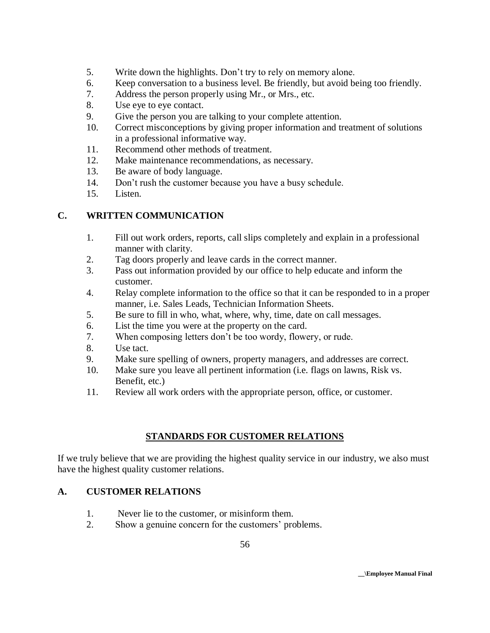- 5. Write down the highlights. Don't try to rely on memory alone.
- 6. Keep conversation to a business level. Be friendly, but avoid being too friendly.
- 7. Address the person properly using Mr., or Mrs., etc.
- 8. Use eye to eye contact.
- 9. Give the person you are talking to your complete attention.
- 10. Correct misconceptions by giving proper information and treatment of solutions in a professional informative way.
- 11. Recommend other methods of treatment.
- 12. Make maintenance recommendations, as necessary.
- 13. Be aware of body language.
- 14. Don't rush the customer because you have a busy schedule.
- 15. Listen.

# **C. WRITTEN COMMUNICATION**

- 1. Fill out work orders, reports, call slips completely and explain in a professional manner with clarity.
- 2. Tag doors properly and leave cards in the correct manner.
- 3. Pass out information provided by our office to help educate and inform the customer.
- 4. Relay complete information to the office so that it can be responded to in a proper manner, i.e. Sales Leads, Technician Information Sheets.
- 5. Be sure to fill in who, what, where, why, time, date on call messages.
- 6. List the time you were at the property on the card.
- 7. When composing letters don't be too wordy, flowery, or rude.
- 8. Use tact.
- 9. Make sure spelling of owners, property managers, and addresses are correct.
- 10. Make sure you leave all pertinent information (i.e. flags on lawns, Risk vs. Benefit, etc.)
- 11. Review all work orders with the appropriate person, office, or customer.

# **STANDARDS FOR CUSTOMER RELATIONS**

If we truly believe that we are providing the highest quality service in our industry, we also must have the highest quality customer relations.

#### **A. CUSTOMER RELATIONS**

- 1. Never lie to the customer, or misinform them.
- 2. Show a genuine concern for the customers' problems.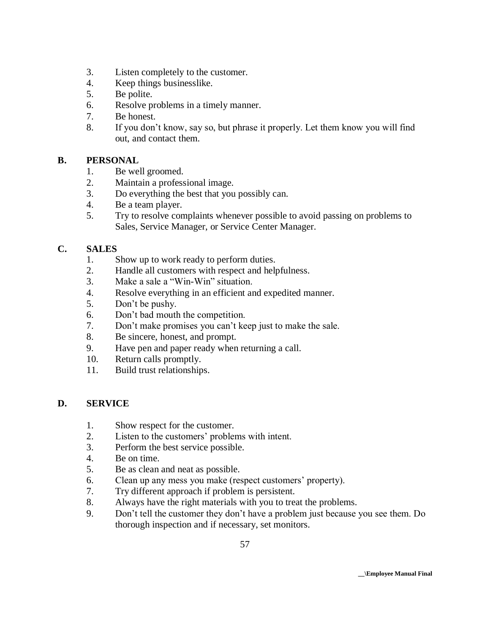- 3. Listen completely to the customer.
- 4. Keep things businesslike.
- 5. Be polite.
- 6. Resolve problems in a timely manner.
- 7. Be honest.
- 8. If you don't know, say so, but phrase it properly. Let them know you will find out, and contact them.

# **B. PERSONAL**

- 1. Be well groomed.
- 2. Maintain a professional image.
- 3. Do everything the best that you possibly can.
- 4. Be a team player.
- 5. Try to resolve complaints whenever possible to avoid passing on problems to Sales, Service Manager, or Service Center Manager.

# **C. SALES**

- 1. Show up to work ready to perform duties.
- 2. Handle all customers with respect and helpfulness.
- 3. Make a sale a "Win-Win" situation.
- 4. Resolve everything in an efficient and expedited manner.
- 5. Don't be pushy.
- 6. Don't bad mouth the competition.
- 7. Don't make promises you can't keep just to make the sale.
- 8. Be sincere, honest, and prompt.
- 9. Have pen and paper ready when returning a call.
- 10. Return calls promptly.
- 11. Build trust relationships.

# **D. SERVICE**

- 1. Show respect for the customer.
- 2. Listen to the customers' problems with intent.
- 3. Perform the best service possible.
- 4. Be on time.
- 5. Be as clean and neat as possible.
- 6. Clean up any mess you make (respect customers' property).
- 7. Try different approach if problem is persistent.
- 8. Always have the right materials with you to treat the problems.
- 9. Don't tell the customer they don't have a problem just because you see them. Do thorough inspection and if necessary, set monitors.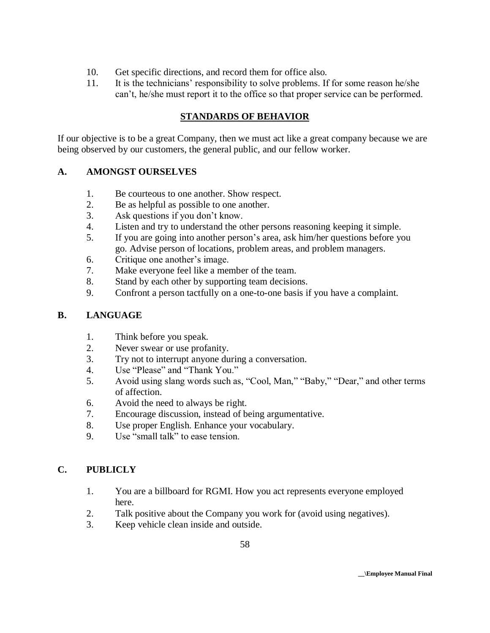- 10. Get specific directions, and record them for office also.
- 11. It is the technicians' responsibility to solve problems. If for some reason he/she can't, he/she must report it to the office so that proper service can be performed.

# **STANDARDS OF BEHAVIOR**

If our objective is to be a great Company, then we must act like a great company because we are being observed by our customers, the general public, and our fellow worker.

# **A. AMONGST OURSELVES**

- 1. Be courteous to one another. Show respect.
- 2. Be as helpful as possible to one another.
- 3. Ask questions if you don't know.
- 4. Listen and try to understand the other persons reasoning keeping it simple.
- 5. If you are going into another person's area, ask him/her questions before you go. Advise person of locations, problem areas, and problem managers.
- 6. Critique one another's image.
- 7. Make everyone feel like a member of the team.
- 8. Stand by each other by supporting team decisions.
- 9. Confront a person tactfully on a one-to-one basis if you have a complaint.

# **B. LANGUAGE**

- 1. Think before you speak.
- 2. Never swear or use profanity.
- 3. Try not to interrupt anyone during a conversation.
- 4. Use "Please" and "Thank You."
- 5. Avoid using slang words such as, "Cool, Man," "Baby," "Dear," and other terms of affection.
- 6. Avoid the need to always be right.
- 7. Encourage discussion, instead of being argumentative.
- 8. Use proper English. Enhance your vocabulary.
- 9. Use "small talk" to ease tension.

# **C. PUBLICLY**

- 1. You are a billboard for RGMI. How you act represents everyone employed here.
- 2. Talk positive about the Company you work for (avoid using negatives).
- 3. Keep vehicle clean inside and outside.